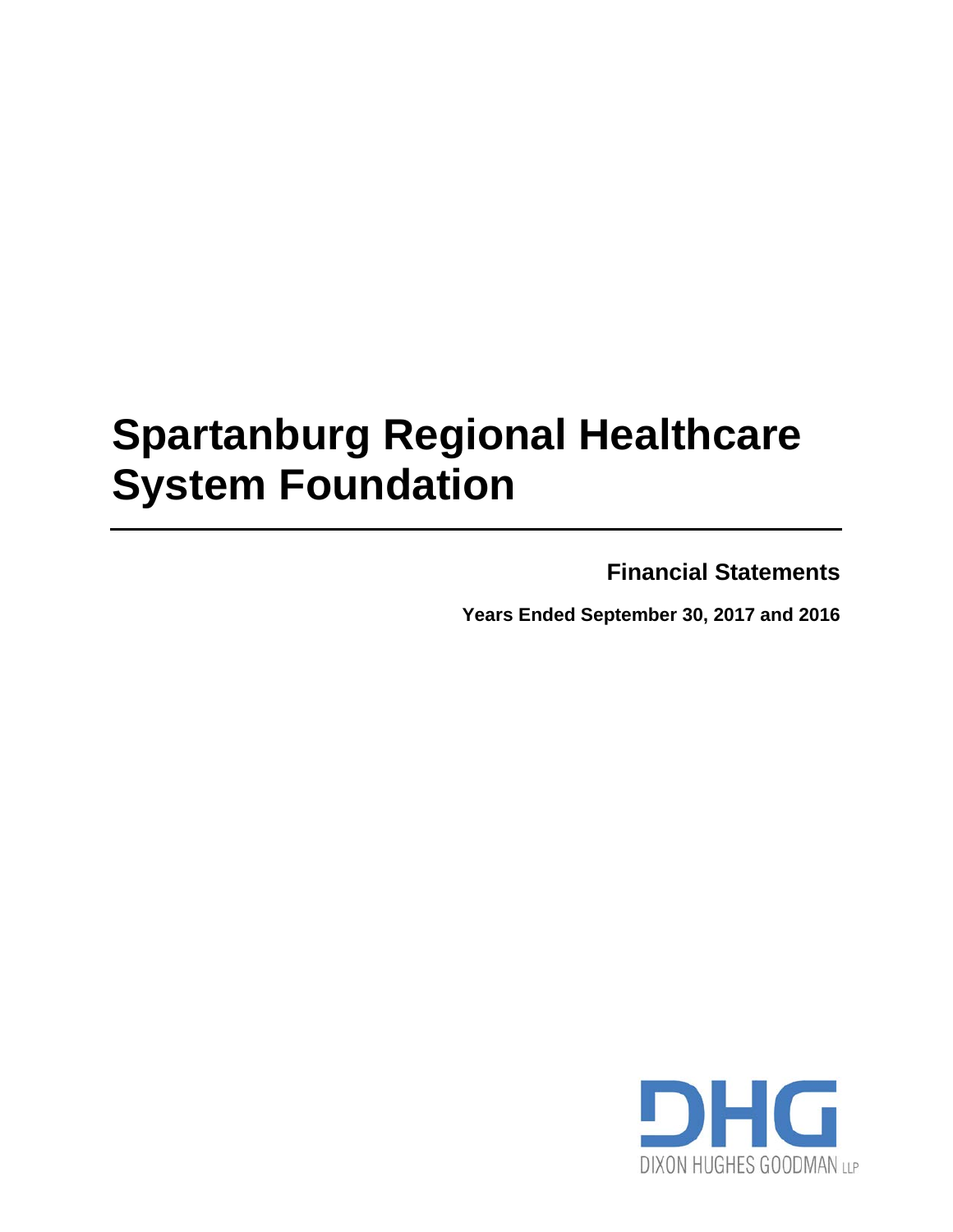# **Spartanburg Regional Healthcare System Foundation**

**Financial Statements**

**Years Ended September 30, 2017 and 2016**

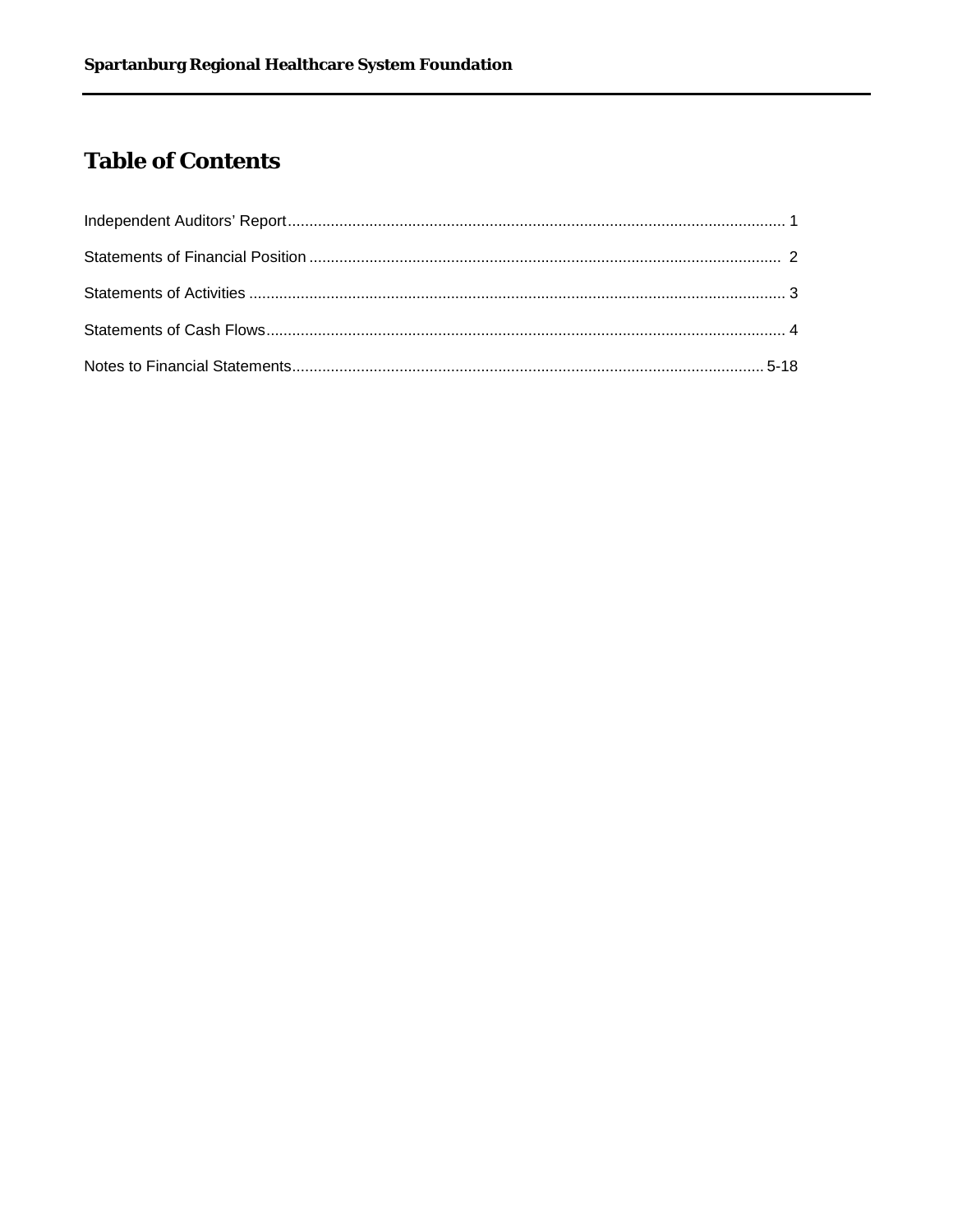## **Table of Contents**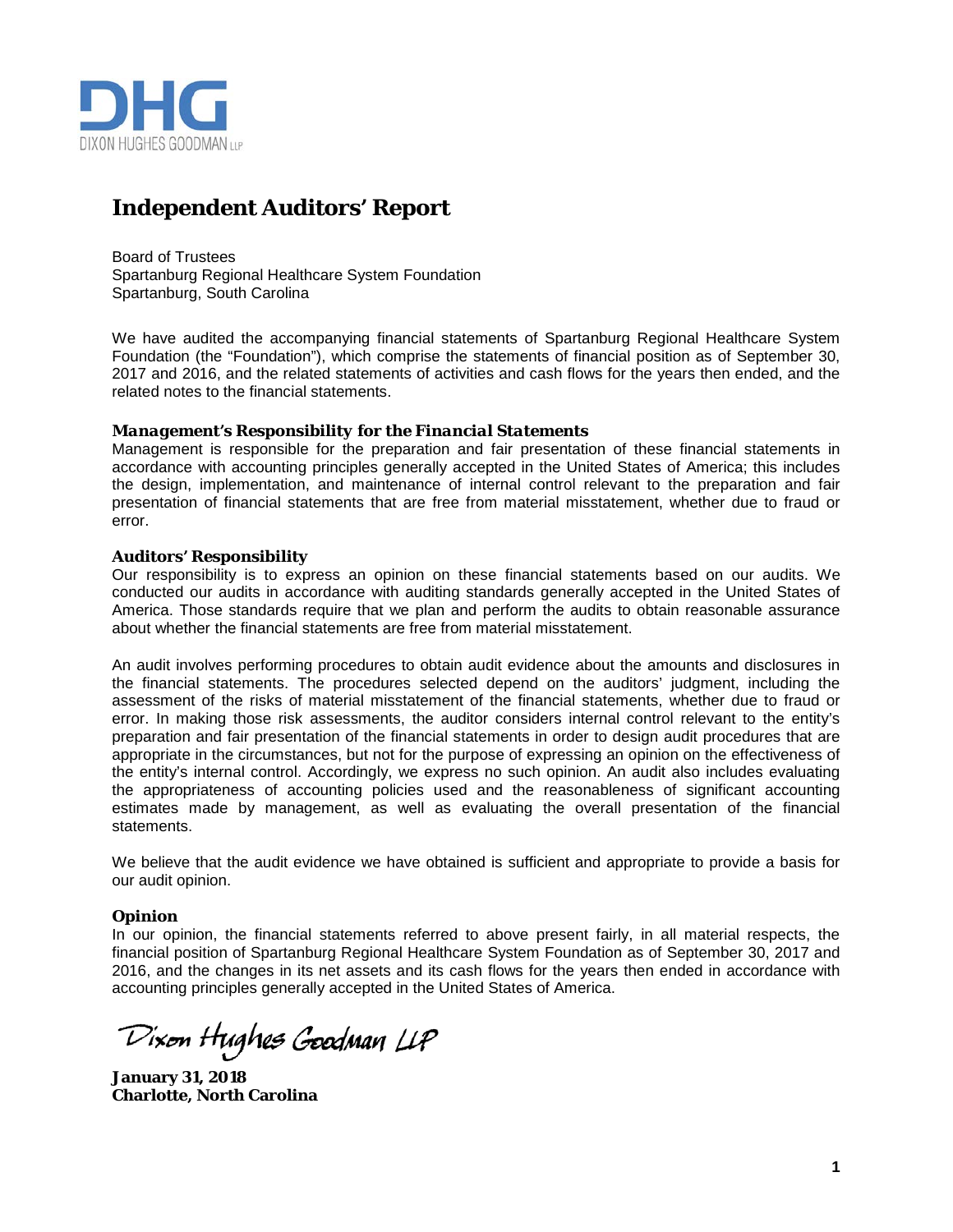

## **Independent Auditors' Report**

Board of Trustees Spartanburg Regional Healthcare System Foundation Spartanburg, South Carolina

We have audited the accompanying financial statements of Spartanburg Regional Healthcare System Foundation (the "Foundation"), which comprise the statements of financial position as of September 30, 2017 and 2016, and the related statements of activities and cash flows for the years then ended, and the related notes to the financial statements.

#### *Management's Responsibility for the Financial Statements*

Management is responsible for the preparation and fair presentation of these financial statements in accordance with accounting principles generally accepted in the United States of America; this includes the design, implementation, and maintenance of internal control relevant to the preparation and fair presentation of financial statements that are free from material misstatement, whether due to fraud or error.

#### *Auditors' Responsibility*

Our responsibility is to express an opinion on these financial statements based on our audits. We conducted our audits in accordance with auditing standards generally accepted in the United States of America. Those standards require that we plan and perform the audits to obtain reasonable assurance about whether the financial statements are free from material misstatement.

An audit involves performing procedures to obtain audit evidence about the amounts and disclosures in the financial statements. The procedures selected depend on the auditors' judgment, including the assessment of the risks of material misstatement of the financial statements, whether due to fraud or error. In making those risk assessments, the auditor considers internal control relevant to the entity's preparation and fair presentation of the financial statements in order to design audit procedures that are appropriate in the circumstances, but not for the purpose of expressing an opinion on the effectiveness of the entity's internal control. Accordingly, we express no such opinion. An audit also includes evaluating the appropriateness of accounting policies used and the reasonableness of significant accounting estimates made by management, as well as evaluating the overall presentation of the financial statements.

We believe that the audit evidence we have obtained is sufficient and appropriate to provide a basis for our audit opinion.

#### *Opinion*

In our opinion, the financial statements referred to above present fairly, in all material respects, the financial position of Spartanburg Regional Healthcare System Foundation as of September 30, 2017 and 2016, and the changes in its net assets and its cash flows for the years then ended in accordance with accounting principles generally accepted in the United States of America.

Dixon Hughes Goodman LLP

**January 31, 2018 Charlotte, North Carolina**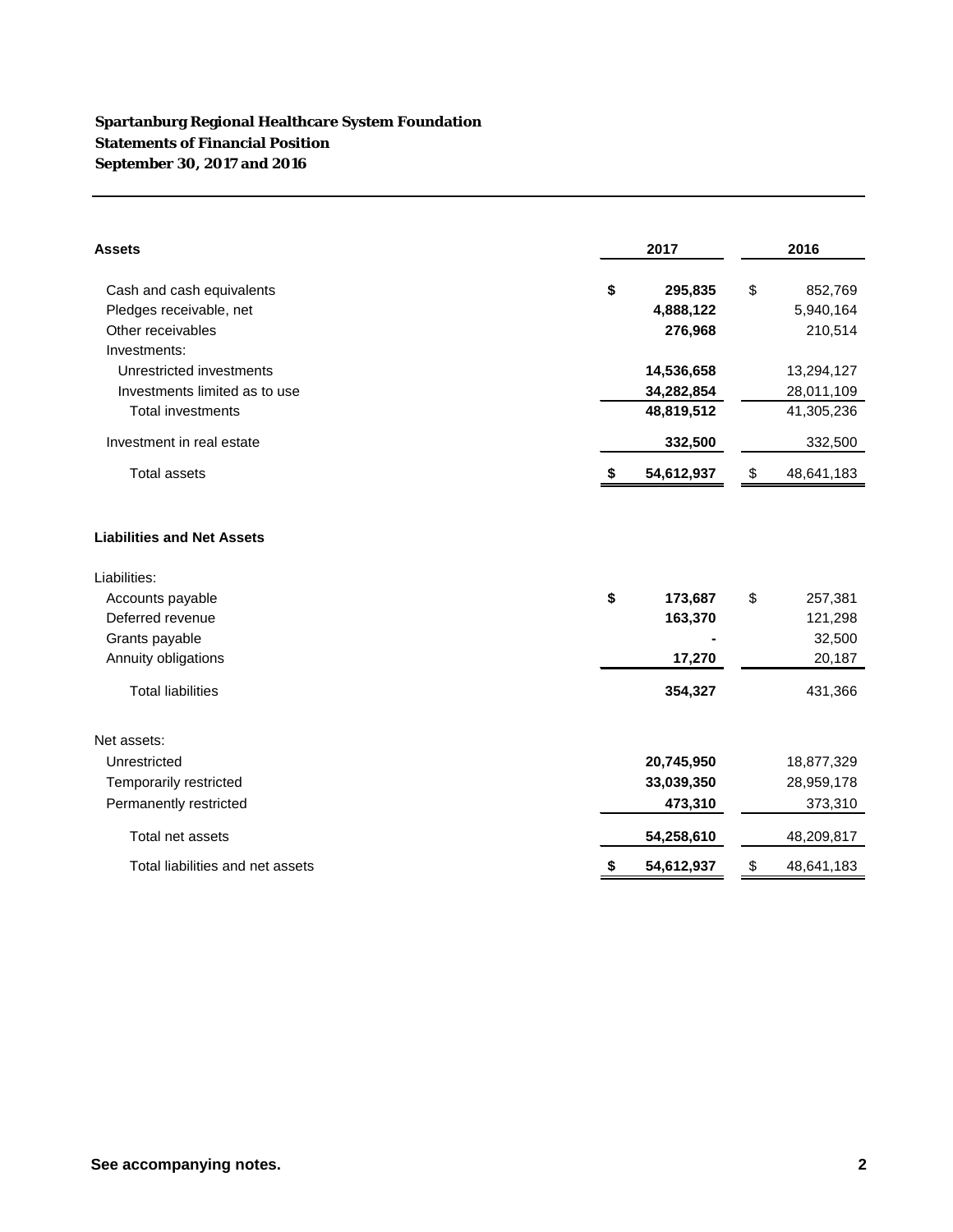## **September 30, 2017 and 2016 Statements of Financial Position Spartanburg Regional Healthcare System Foundation**

| <b>Assets</b>                                                                             | 2017 |                                        |    |                                        |
|-------------------------------------------------------------------------------------------|------|----------------------------------------|----|----------------------------------------|
| Cash and cash equivalents<br>Pledges receivable, net<br>Other receivables<br>Investments: | \$   | 295,835<br>4,888,122<br>276,968        | \$ | 852,769<br>5,940,164<br>210,514        |
| Unrestricted investments<br>Investments limited as to use<br><b>Total investments</b>     |      | 14,536,658<br>34,282,854<br>48,819,512 |    | 13,294,127<br>28,011,109<br>41,305,236 |
| Investment in real estate                                                                 |      | 332,500                                |    | 332,500                                |
| <b>Total assets</b>                                                                       | \$   | 54,612,937                             | \$ | 48,641,183                             |
| <b>Liabilities and Net Assets</b>                                                         |      |                                        |    |                                        |
| Liabilities:                                                                              |      |                                        |    |                                        |
| Accounts payable                                                                          | \$   | 173,687                                | \$ | 257,381                                |
| Deferred revenue                                                                          |      | 163,370                                |    | 121,298                                |
| Grants payable<br>Annuity obligations                                                     |      | 17,270                                 |    | 32,500<br>20,187                       |
| <b>Total liabilities</b>                                                                  |      | 354,327                                |    | 431,366                                |
| Net assets:                                                                               |      |                                        |    |                                        |
| Unrestricted                                                                              |      | 20,745,950                             |    | 18,877,329                             |
| Temporarily restricted                                                                    |      | 33,039,350                             |    | 28,959,178                             |
| Permanently restricted                                                                    |      | 473,310                                |    | 373,310                                |
| Total net assets                                                                          |      | 54,258,610                             |    | 48,209,817                             |
| Total liabilities and net assets                                                          | S    | 54,612,937                             | \$ | 48,641,183                             |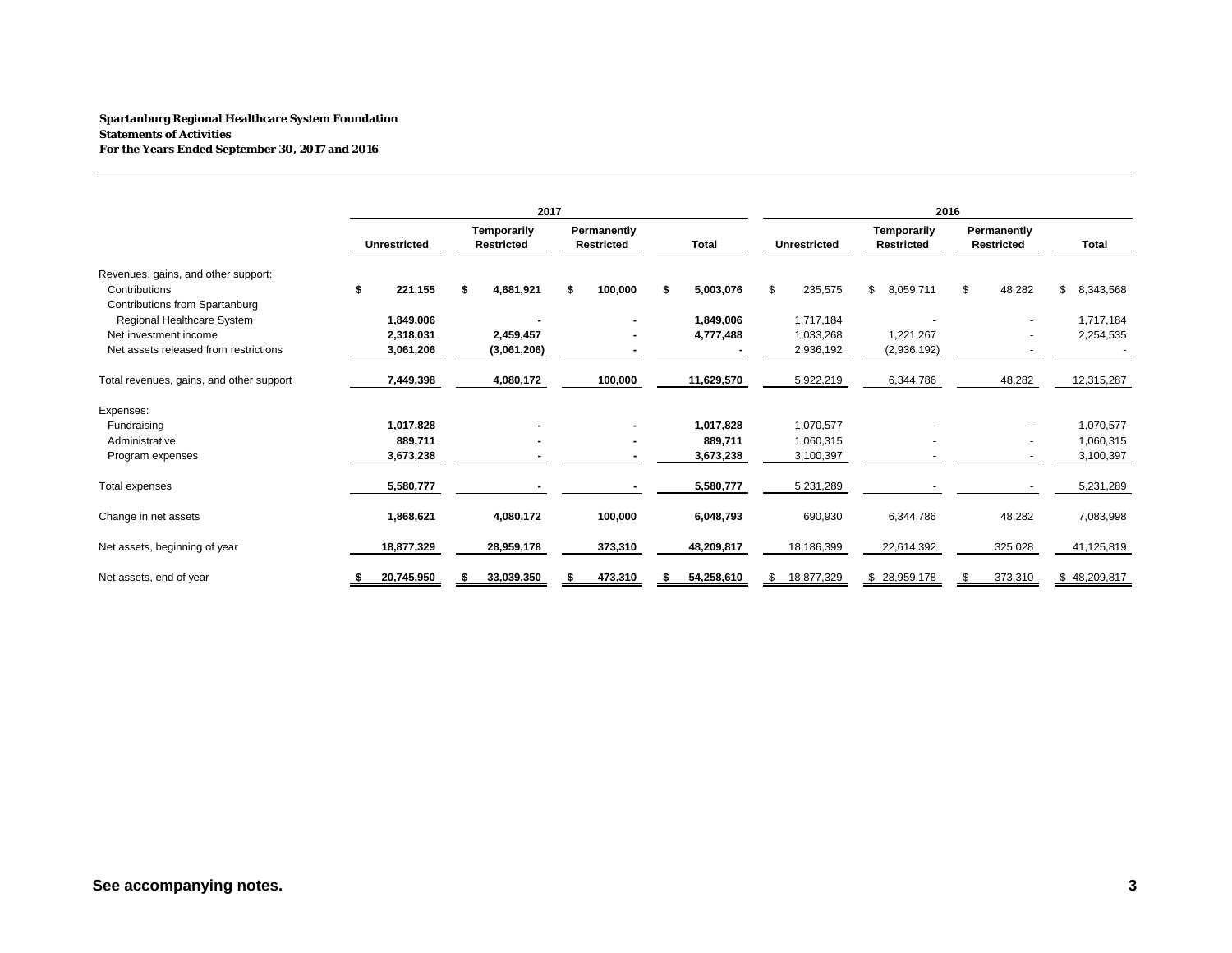|                                                                                                                                | 2017 |                                     |    |                                         |    |                                  |    | 2016                              |    |                                     |    |                                         |                |                                  |              |                                     |
|--------------------------------------------------------------------------------------------------------------------------------|------|-------------------------------------|----|-----------------------------------------|----|----------------------------------|----|-----------------------------------|----|-------------------------------------|----|-----------------------------------------|----------------|----------------------------------|--------------|-------------------------------------|
|                                                                                                                                |      | <b>Unrestricted</b>                 |    | <b>Temporarily</b><br><b>Restricted</b> |    | Permanently<br><b>Restricted</b> |    | <b>Total</b>                      |    | <b>Unrestricted</b>                 |    | <b>Temporarily</b><br><b>Restricted</b> |                | Permanently<br><b>Restricted</b> | <b>Total</b> |                                     |
| Revenues, gains, and other support:<br>Contributions                                                                           | \$   | 221,155                             | \$ | 4,681,921                               | \$ | 100,000                          | S. | 5,003,076                         | \$ | 235,575                             | \$ | 8,059,711                               | $\mathfrak{F}$ | 48,282                           | \$           | 8,343,568                           |
| Contributions from Spartanburg<br>Regional Healthcare System<br>Net investment income<br>Net assets released from restrictions |      | 1,849,006<br>2,318,031<br>3,061,206 |    | 2,459,457<br>(3,061,206)                |    |                                  |    | 1,849,006<br>4,777,488            |    | 1,717,184<br>1,033,268<br>2,936,192 |    | 1,221,267<br>(2,936,192)                |                |                                  |              | 1,717,184<br>2,254,535              |
| Total revenues, gains, and other support                                                                                       |      | 7,449,398                           |    | 4,080,172                               |    | 100,000                          |    | 11,629,570                        |    | 5,922,219                           |    | 6,344,786                               |                | 48,282                           |              | 12,315,287                          |
| Expenses:<br>Fundraising<br>Administrative<br>Program expenses                                                                 |      | 1,017,828<br>889,711<br>3,673,238   |    |                                         |    |                                  |    | 1,017,828<br>889,711<br>3,673,238 |    | 1,070,577<br>1,060,315<br>3,100,397 |    |                                         |                | $\overline{\phantom{a}}$         |              | 1,070,577<br>1,060,315<br>3,100,397 |
| Total expenses                                                                                                                 |      | 5,580,777                           |    |                                         |    |                                  |    | 5,580,777                         |    | 5,231,289                           |    |                                         |                |                                  |              | 5,231,289                           |
| Change in net assets                                                                                                           |      | 1,868,621                           |    | 4,080,172                               |    | 100,000                          |    | 6,048,793                         |    | 690,930                             |    | 6,344,786                               |                | 48,282                           |              | 7,083,998                           |
| Net assets, beginning of year                                                                                                  |      | 18,877,329                          |    | 28,959,178                              |    | 373,310                          |    | 48,209,817                        |    | 18,186,399                          |    | 22,614,392                              |                | 325,028                          |              | 41,125,819                          |
| Net assets, end of year                                                                                                        |      | 20,745,950                          |    | 33,039,350                              |    | 473,310                          |    | 54,258,610                        | \$ | 18,877,329                          | \$ | 28,959,178                              |                | 373,310                          |              | \$48,209,817                        |

## **For the Years Ended September 30, 2017 and 2016 Statements of Activities Spartanburg Regional Healthcare System Foundation**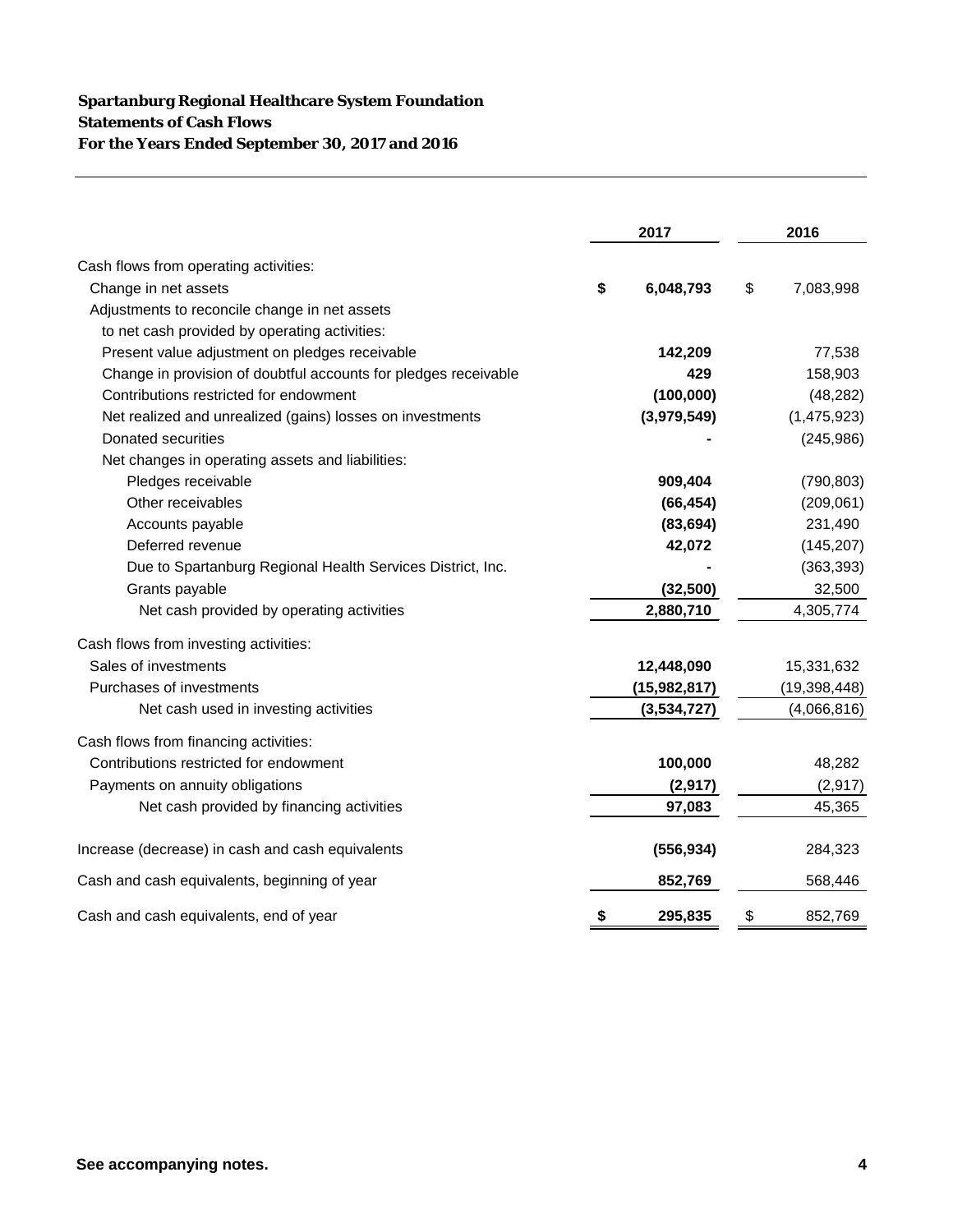## **Statements of Cash Flows Spartanburg Regional Healthcare System Foundation For the Years Ended September 30, 2017 and 2016**

|                                                                 | 2017            | 2016            |
|-----------------------------------------------------------------|-----------------|-----------------|
| Cash flows from operating activities:                           |                 |                 |
| Change in net assets                                            | \$<br>6,048,793 | \$<br>7,083,998 |
| Adjustments to reconcile change in net assets                   |                 |                 |
| to net cash provided by operating activities:                   |                 |                 |
| Present value adjustment on pledges receivable                  | 142,209         | 77,538          |
| Change in provision of doubtful accounts for pledges receivable | 429             | 158,903         |
| Contributions restricted for endowment                          | (100,000)       | (48, 282)       |
| Net realized and unrealized (gains) losses on investments       | (3,979,549)     | (1,475,923)     |
| Donated securities                                              |                 | (245, 986)      |
| Net changes in operating assets and liabilities:                |                 |                 |
| Pledges receivable                                              | 909,404         | (790, 803)      |
| Other receivables                                               | (66, 454)       | (209, 061)      |
| Accounts payable                                                | (83, 694)       | 231,490         |
| Deferred revenue                                                | 42,072          | (145, 207)      |
| Due to Spartanburg Regional Health Services District, Inc.      |                 | (363, 393)      |
| Grants payable                                                  | (32,500)        | 32,500          |
| Net cash provided by operating activities                       | 2,880,710       | 4,305,774       |
| Cash flows from investing activities:                           |                 |                 |
| Sales of investments                                            | 12,448,090      | 15,331,632      |
| Purchases of investments                                        | (15,982,817)    | (19, 398, 448)  |
| Net cash used in investing activities                           | (3,534,727)     | (4,066,816)     |
| Cash flows from financing activities:                           |                 |                 |
| Contributions restricted for endowment                          | 100,000         | 48,282          |
| Payments on annuity obligations                                 | (2, 917)        | (2, 917)        |
| Net cash provided by financing activities                       | 97,083          | 45,365          |
| Increase (decrease) in cash and cash equivalents                | (556, 934)      | 284,323         |
| Cash and cash equivalents, beginning of year                    | 852,769         | 568,446         |
| Cash and cash equivalents, end of year                          | \$<br>295,835   | \$<br>852,769   |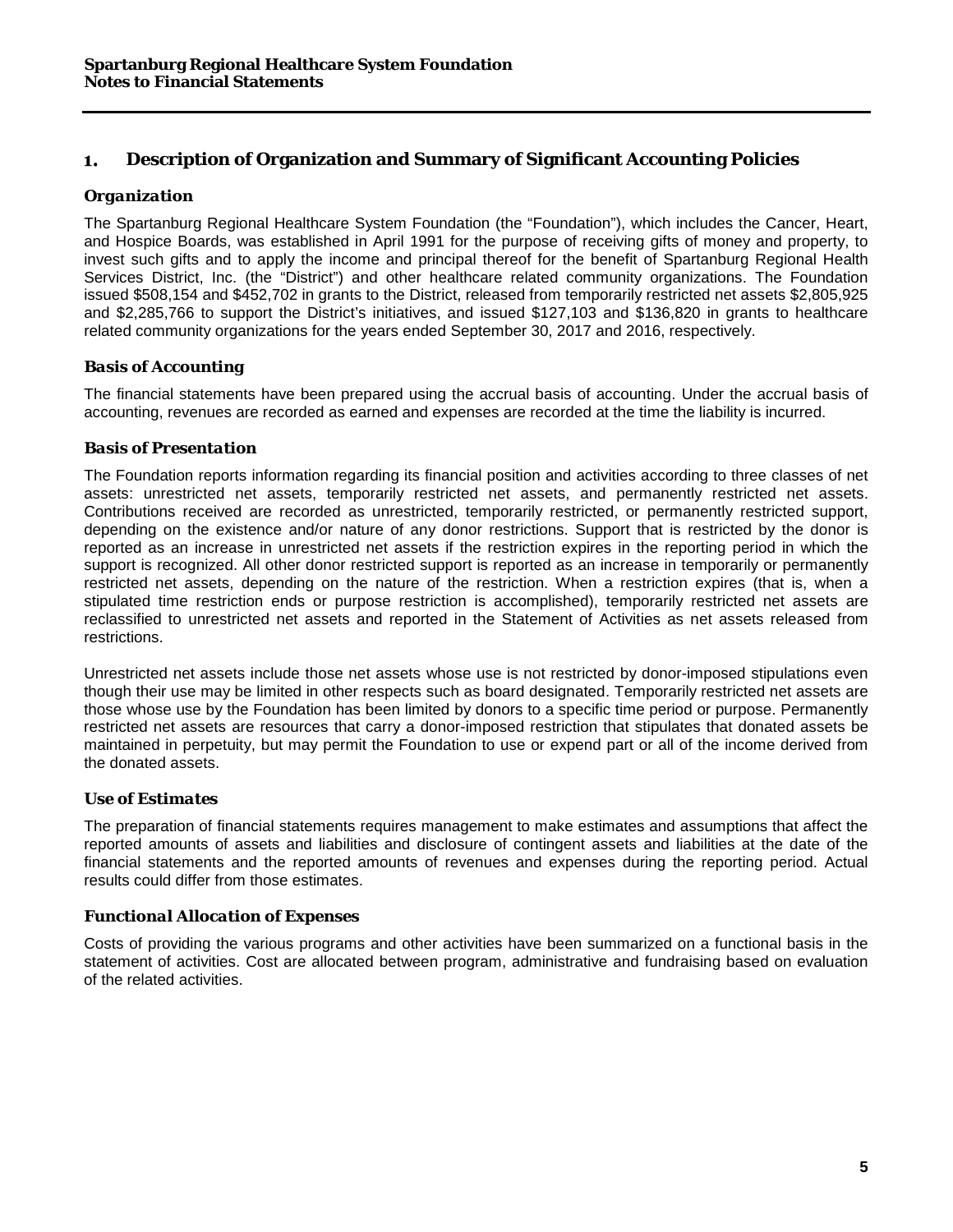#### **Description of Organization and Summary of Significant Accounting Policies** 1.

#### *Organization*

The Spartanburg Regional Healthcare System Foundation (the "Foundation"), which includes the Cancer, Heart, and Hospice Boards, was established in April 1991 for the purpose of receiving gifts of money and property, to invest such gifts and to apply the income and principal thereof for the benefit of Spartanburg Regional Health Services District, Inc. (the "District") and other healthcare related community organizations. The Foundation issued \$508,154 and \$452,702 in grants to the District, released from temporarily restricted net assets \$2,805,925 and \$2,285,766 to support the District's initiatives, and issued \$127,103 and \$136,820 in grants to healthcare related community organizations for the years ended September 30, 2017 and 2016, respectively.

## *Basis of Accounting*

The financial statements have been prepared using the accrual basis of accounting. Under the accrual basis of accounting, revenues are recorded as earned and expenses are recorded at the time the liability is incurred.

## *Basis of Presentation*

The Foundation reports information regarding its financial position and activities according to three classes of net assets: unrestricted net assets, temporarily restricted net assets, and permanently restricted net assets. Contributions received are recorded as unrestricted, temporarily restricted, or permanently restricted support, depending on the existence and/or nature of any donor restrictions. Support that is restricted by the donor is reported as an increase in unrestricted net assets if the restriction expires in the reporting period in which the support is recognized. All other donor restricted support is reported as an increase in temporarily or permanently restricted net assets, depending on the nature of the restriction. When a restriction expires (that is, when a stipulated time restriction ends or purpose restriction is accomplished), temporarily restricted net assets are reclassified to unrestricted net assets and reported in the Statement of Activities as net assets released from restrictions.

Unrestricted net assets include those net assets whose use is not restricted by donor-imposed stipulations even though their use may be limited in other respects such as board designated. Temporarily restricted net assets are those whose use by the Foundation has been limited by donors to a specific time period or purpose. Permanently restricted net assets are resources that carry a donor-imposed restriction that stipulates that donated assets be maintained in perpetuity, but may permit the Foundation to use or expend part or all of the income derived from the donated assets.

#### *Use of Estimates*

The preparation of financial statements requires management to make estimates and assumptions that affect the reported amounts of assets and liabilities and disclosure of contingent assets and liabilities at the date of the financial statements and the reported amounts of revenues and expenses during the reporting period. Actual results could differ from those estimates.

#### *Functional Allocation of Expenses*

Costs of providing the various programs and other activities have been summarized on a functional basis in the statement of activities. Cost are allocated between program, administrative and fundraising based on evaluation of the related activities.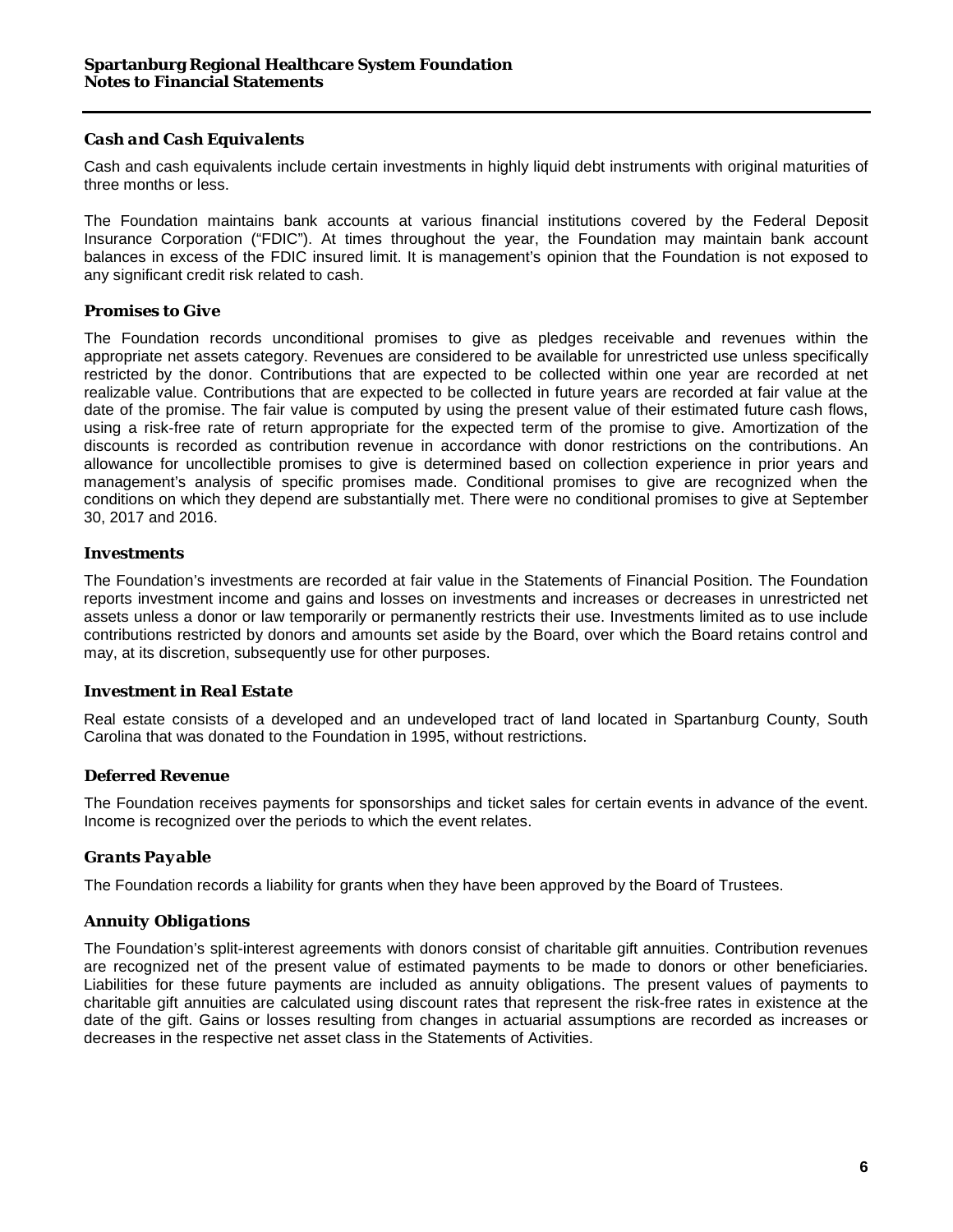#### *Cash and Cash Equivalents*

Cash and cash equivalents include certain investments in highly liquid debt instruments with original maturities of three months or less.

The Foundation maintains bank accounts at various financial institutions covered by the Federal Deposit Insurance Corporation ("FDIC"). At times throughout the year, the Foundation may maintain bank account balances in excess of the FDIC insured limit. It is management's opinion that the Foundation is not exposed to any significant credit risk related to cash.

#### *Promises to Give*

The Foundation records unconditional promises to give as pledges receivable and revenues within the appropriate net assets category. Revenues are considered to be available for unrestricted use unless specifically restricted by the donor. Contributions that are expected to be collected within one year are recorded at net realizable value. Contributions that are expected to be collected in future years are recorded at fair value at the date of the promise. The fair value is computed by using the present value of their estimated future cash flows, using a risk-free rate of return appropriate for the expected term of the promise to give. Amortization of the discounts is recorded as contribution revenue in accordance with donor restrictions on the contributions. An allowance for uncollectible promises to give is determined based on collection experience in prior years and management's analysis of specific promises made. Conditional promises to give are recognized when the conditions on which they depend are substantially met. There were no conditional promises to give at September 30, 2017 and 2016.

#### *Investments*

The Foundation's investments are recorded at fair value in the Statements of Financial Position. The Foundation reports investment income and gains and losses on investments and increases or decreases in unrestricted net assets unless a donor or law temporarily or permanently restricts their use. Investments limited as to use include contributions restricted by donors and amounts set aside by the Board, over which the Board retains control and may, at its discretion, subsequently use for other purposes.

## *Investment in Real Estate*

Real estate consists of a developed and an undeveloped tract of land located in Spartanburg County, South Carolina that was donated to the Foundation in 1995, without restrictions.

#### *Deferred Revenue*

The Foundation receives payments for sponsorships and ticket sales for certain events in advance of the event. Income is recognized over the periods to which the event relates.

#### *Grants Payable*

The Foundation records a liability for grants when they have been approved by the Board of Trustees.

## *Annuity Obligations*

The Foundation's split-interest agreements with donors consist of charitable gift annuities. Contribution revenues are recognized net of the present value of estimated payments to be made to donors or other beneficiaries. Liabilities for these future payments are included as annuity obligations. The present values of payments to charitable gift annuities are calculated using discount rates that represent the risk-free rates in existence at the date of the gift. Gains or losses resulting from changes in actuarial assumptions are recorded as increases or decreases in the respective net asset class in the Statements of Activities.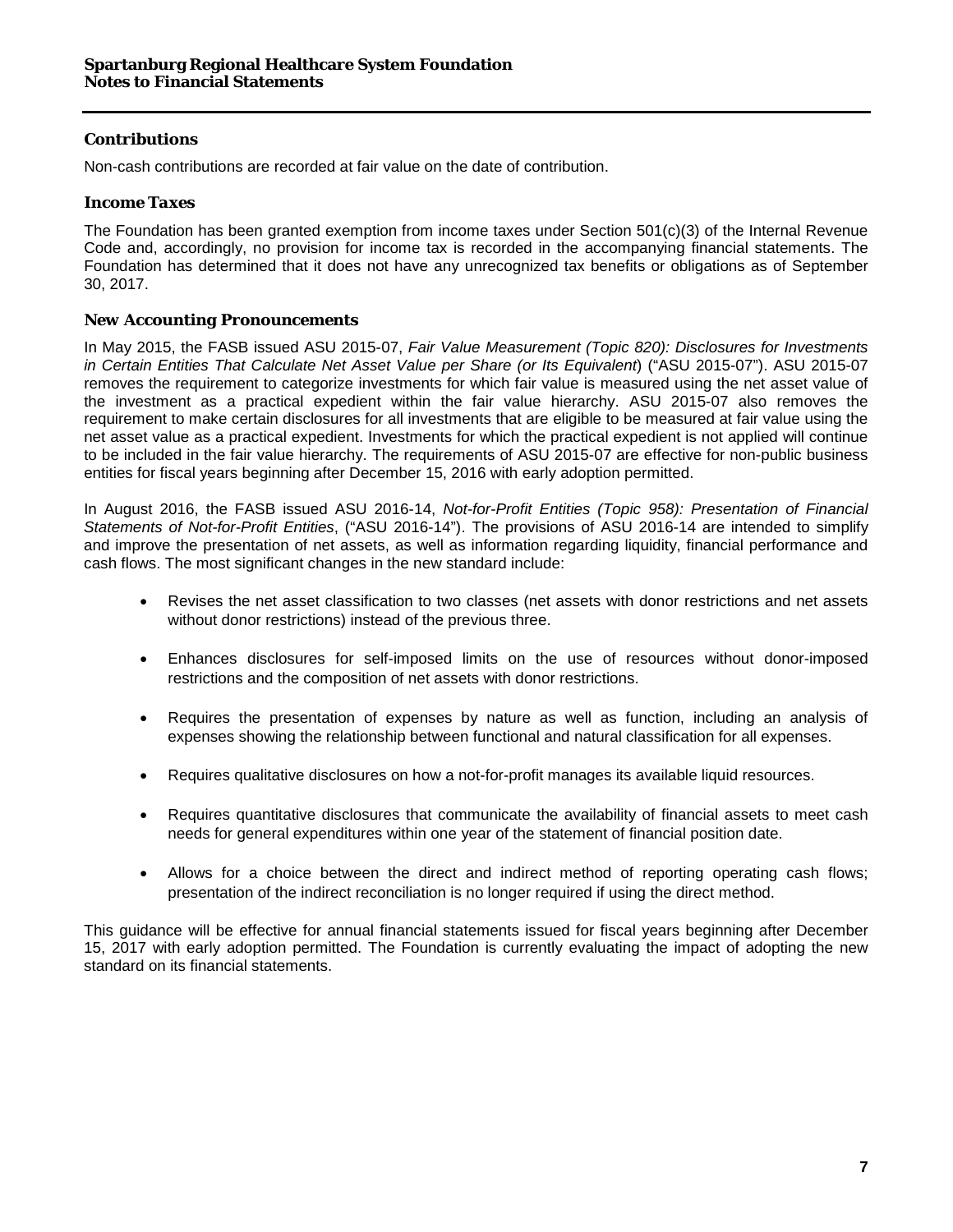## *Contributions*

Non-cash contributions are recorded at fair value on the date of contribution.

#### *Income Taxes*

The Foundation has been granted exemption from income taxes under Section 501(c)(3) of the Internal Revenue Code and, accordingly, no provision for income tax is recorded in the accompanying financial statements. The Foundation has determined that it does not have any unrecognized tax benefits or obligations as of September 30, 2017.

#### *New Accounting Pronouncements*

In May 2015, the FASB issued ASU 2015-07, *Fair Value Measurement (Topic 820): Disclosures for Investments in Certain Entities That Calculate Net Asset Value per Share (or Its Equivalent*) ("ASU 2015-07"). ASU 2015-07 removes the requirement to categorize investments for which fair value is measured using the net asset value of the investment as a practical expedient within the fair value hierarchy. ASU 2015-07 also removes the requirement to make certain disclosures for all investments that are eligible to be measured at fair value using the net asset value as a practical expedient. Investments for which the practical expedient is not applied will continue to be included in the fair value hierarchy. The requirements of ASU 2015-07 are effective for non-public business entities for fiscal years beginning after December 15, 2016 with early adoption permitted.

In August 2016, the FASB issued ASU 2016-14, *Not-for-Profit Entities (Topic 958): Presentation of Financial Statements of Not-for-Profit Entities*, ("ASU 2016-14"). The provisions of ASU 2016-14 are intended to simplify and improve the presentation of net assets, as well as information regarding liquidity, financial performance and cash flows. The most significant changes in the new standard include:

- Revises the net asset classification to two classes (net assets with donor restrictions and net assets without donor restrictions) instead of the previous three.
- Enhances disclosures for self-imposed limits on the use of resources without donor-imposed restrictions and the composition of net assets with donor restrictions.
- Requires the presentation of expenses by nature as well as function, including an analysis of expenses showing the relationship between functional and natural classification for all expenses.
- Requires qualitative disclosures on how a not-for-profit manages its available liquid resources.
- Requires quantitative disclosures that communicate the availability of financial assets to meet cash needs for general expenditures within one year of the statement of financial position date.
- Allows for a choice between the direct and indirect method of reporting operating cash flows; presentation of the indirect reconciliation is no longer required if using the direct method.

This guidance will be effective for annual financial statements issued for fiscal years beginning after December 15, 2017 with early adoption permitted. The Foundation is currently evaluating the impact of adopting the new standard on its financial statements.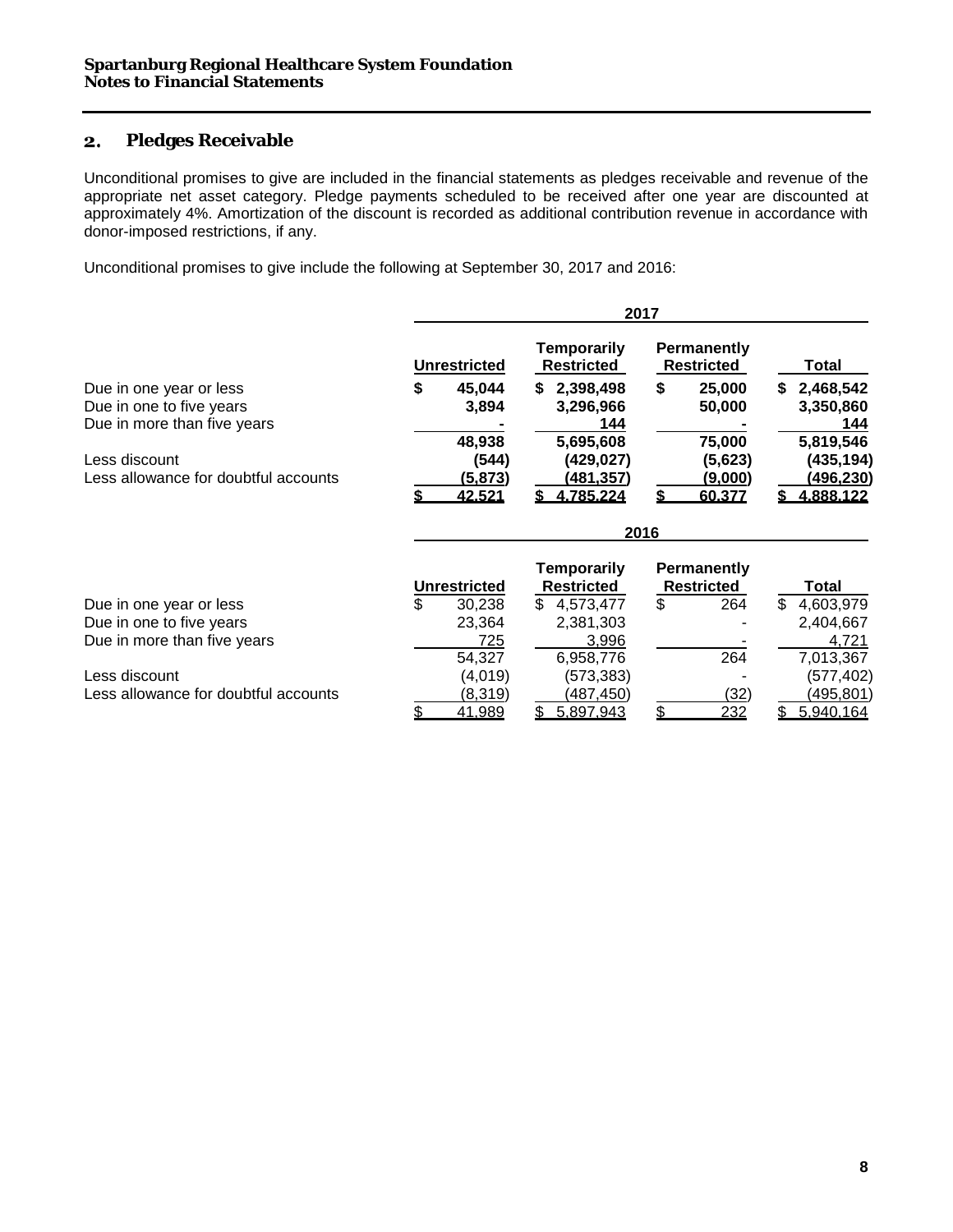#### **Pledges Receivable** 2.

Unconditional promises to give are included in the financial statements as pledges receivable and revenue of the appropriate net asset category. Pledge payments scheduled to be received after one year are discounted at approximately 4%. Amortization of the discount is recorded as additional contribution revenue in accordance with donor-imposed restrictions, if any.

Unconditional promises to give include the following at September 30, 2017 and 2016:

|                                                                                    |                     |                    |     | 2017                                    |      |                                         |    |                               |
|------------------------------------------------------------------------------------|---------------------|--------------------|-----|-----------------------------------------|------|-----------------------------------------|----|-------------------------------|
|                                                                                    | <b>Unrestricted</b> |                    |     | <b>Temporarily</b><br><b>Restricted</b> |      | <b>Permanently</b><br><b>Restricted</b> |    | Total                         |
| Due in one year or less<br>Due in one to five years<br>Due in more than five years |                     | 45,044<br>3,894    | S   | 2,398,498<br>3,296,966<br>144           | \$   | 25,000<br>50,000                        | S  | 2,468,542<br>3,350,860<br>144 |
| Less discount                                                                      |                     | 48,938<br>(544)    |     | 5,695,608<br>(429,027)                  |      | 75,000<br>(5,623)                       |    | 5,819,546<br>(435,194)        |
| Less allowance for doubtful accounts                                               |                     | (5, 873)<br>42.521 |     | (481,357)<br>4.785.224                  |      | (9,000)<br>60.377                       | S. | (496,230)<br>4.888.122        |
|                                                                                    |                     |                    |     |                                         | 2016 |                                         |    |                               |
|                                                                                    | <b>Unrestricted</b> |                    |     | Temporarily<br><b>Restricted</b>        |      | <b>Permanently</b><br><b>Restricted</b> |    | Total                         |
| Due in one year or less                                                            | S                   | 30,238             | \$. | 4,573,477                               | \$   | 264                                     | \$ | 4,603,979                     |
| Due in one to five years                                                           |                     | 23,364             |     | 2,381,303                               |      |                                         |    | 2,404,667                     |
| Due in more than five years                                                        |                     | 725                |     | 3,996                                   |      |                                         |    | 4,721                         |
|                                                                                    |                     | 54,327             |     | 6,958,776                               |      | 264                                     |    | 7,013,367                     |
| Less discount                                                                      |                     | (4,019)            |     | (573, 383)                              |      |                                         |    | (577, 402)                    |
| Less allowance for doubtful accounts                                               |                     | (8,319)            |     | (487,450)                               |      | (32)                                    |    | (495,801)                     |
|                                                                                    |                     | <u>41,989</u>      |     | 5,897,943                               |      | 232                                     |    | 5,940,164                     |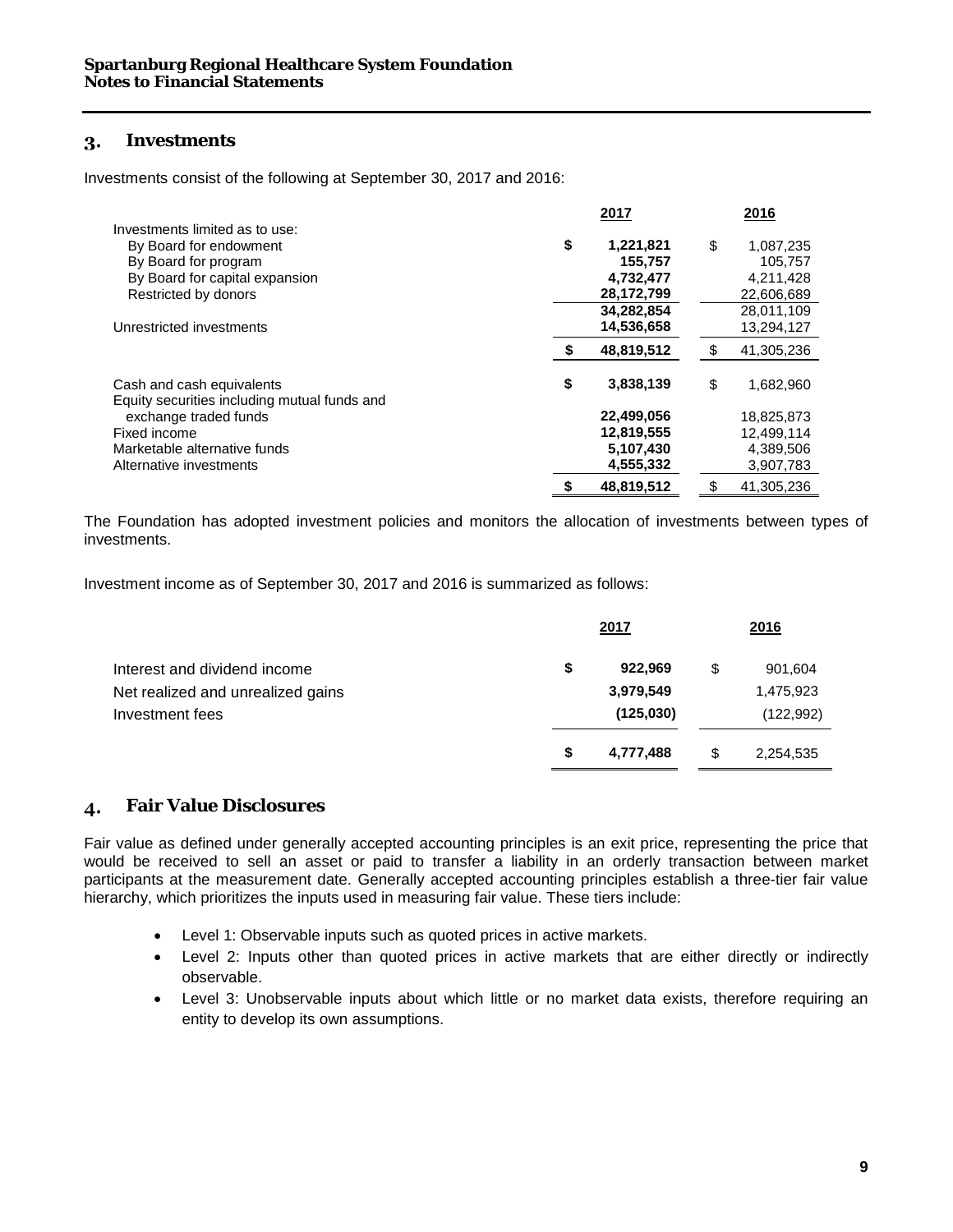#### **Investments** 3.

Investments consist of the following at September 30, 2017 and 2016:

|                                                                           | 2017 |            |    | 2016       |
|---------------------------------------------------------------------------|------|------------|----|------------|
| Investments limited as to use:                                            |      |            |    |            |
| By Board for endowment                                                    | \$   | 1,221,821  | \$ | 1,087,235  |
| By Board for program                                                      |      | 155,757    |    | 105,757    |
| By Board for capital expansion                                            |      | 4,732,477  |    | 4,211,428  |
| Restricted by donors                                                      |      | 28,172,799 |    | 22,606,689 |
|                                                                           |      | 34,282,854 |    | 28,011,109 |
| Unrestricted investments                                                  |      | 14,536,658 |    | 13,294,127 |
|                                                                           |      | 48,819,512 |    | 41,305,236 |
| Cash and cash equivalents<br>Equity securities including mutual funds and | \$   | 3,838,139  | \$ | 1,682,960  |
| exchange traded funds                                                     |      | 22,499,056 |    | 18,825,873 |
| Fixed income                                                              |      | 12,819,555 |    | 12,499,114 |
| Marketable alternative funds                                              |      | 5,107,430  |    | 4,389,506  |
| Alternative investments                                                   |      | 4,555,332  |    | 3,907,783  |
|                                                                           | \$   | 48,819,512 | \$ | 41.305.236 |

The Foundation has adopted investment policies and monitors the allocation of investments between types of investments.

Investment income as of September 30, 2017 and 2016 is summarized as follows:

|                                   | <u>2017</u>     |    |            |  |
|-----------------------------------|-----------------|----|------------|--|
| Interest and dividend income      | \$<br>922.969   | S  | 901,604    |  |
| Net realized and unrealized gains | 3,979,549       |    | 1,475,923  |  |
| Investment fees                   | (125,030)       |    | (122, 992) |  |
|                                   | \$<br>4,777,488 | \$ | 2,254,535  |  |

#### **Fair Value Disclosures**  $\boldsymbol{4}$

Fair value as defined under generally accepted accounting principles is an exit price, representing the price that would be received to sell an asset or paid to transfer a liability in an orderly transaction between market participants at the measurement date. Generally accepted accounting principles establish a three-tier fair value hierarchy, which prioritizes the inputs used in measuring fair value. These tiers include:

- Level 1: Observable inputs such as quoted prices in active markets.
- Level 2: Inputs other than quoted prices in active markets that are either directly or indirectly observable.
- Level 3: Unobservable inputs about which little or no market data exists, therefore requiring an entity to develop its own assumptions.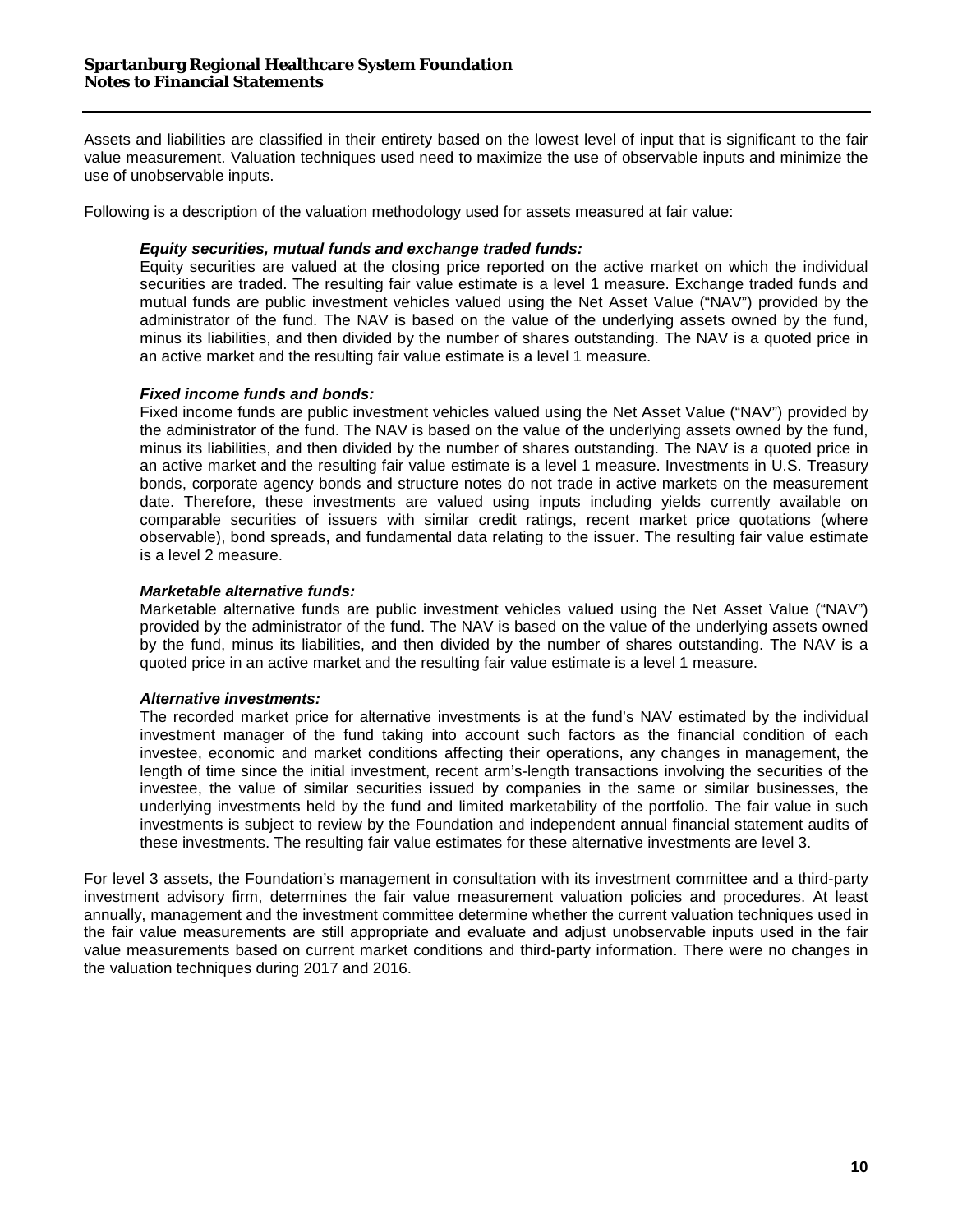Assets and liabilities are classified in their entirety based on the lowest level of input that is significant to the fair value measurement. Valuation techniques used need to maximize the use of observable inputs and minimize the use of unobservable inputs.

Following is a description of the valuation methodology used for assets measured at fair value:

#### *Equity securities, mutual funds and exchange traded funds:*

Equity securities are valued at the closing price reported on the active market on which the individual securities are traded. The resulting fair value estimate is a level 1 measure. Exchange traded funds and mutual funds are public investment vehicles valued using the Net Asset Value ("NAV") provided by the administrator of the fund. The NAV is based on the value of the underlying assets owned by the fund, minus its liabilities, and then divided by the number of shares outstanding. The NAV is a quoted price in an active market and the resulting fair value estimate is a level 1 measure.

#### *Fixed income funds and bonds:*

Fixed income funds are public investment vehicles valued using the Net Asset Value ("NAV") provided by the administrator of the fund. The NAV is based on the value of the underlying assets owned by the fund, minus its liabilities, and then divided by the number of shares outstanding. The NAV is a quoted price in an active market and the resulting fair value estimate is a level 1 measure. Investments in U.S. Treasury bonds, corporate agency bonds and structure notes do not trade in active markets on the measurement date. Therefore, these investments are valued using inputs including yields currently available on comparable securities of issuers with similar credit ratings, recent market price quotations (where observable), bond spreads, and fundamental data relating to the issuer. The resulting fair value estimate is a level 2 measure.

#### *Marketable alternative funds:*

Marketable alternative funds are public investment vehicles valued using the Net Asset Value ("NAV") provided by the administrator of the fund. The NAV is based on the value of the underlying assets owned by the fund, minus its liabilities, and then divided by the number of shares outstanding. The NAV is a quoted price in an active market and the resulting fair value estimate is a level 1 measure.

#### *Alternative investments:*

The recorded market price for alternative investments is at the fund's NAV estimated by the individual investment manager of the fund taking into account such factors as the financial condition of each investee, economic and market conditions affecting their operations, any changes in management, the length of time since the initial investment, recent arm's-length transactions involving the securities of the investee, the value of similar securities issued by companies in the same or similar businesses, the underlying investments held by the fund and limited marketability of the portfolio. The fair value in such investments is subject to review by the Foundation and independent annual financial statement audits of these investments. The resulting fair value estimates for these alternative investments are level 3.

For level 3 assets, the Foundation's management in consultation with its investment committee and a third-party investment advisory firm, determines the fair value measurement valuation policies and procedures. At least annually, management and the investment committee determine whether the current valuation techniques used in the fair value measurements are still appropriate and evaluate and adjust unobservable inputs used in the fair value measurements based on current market conditions and third-party information. There were no changes in the valuation techniques during 2017 and 2016.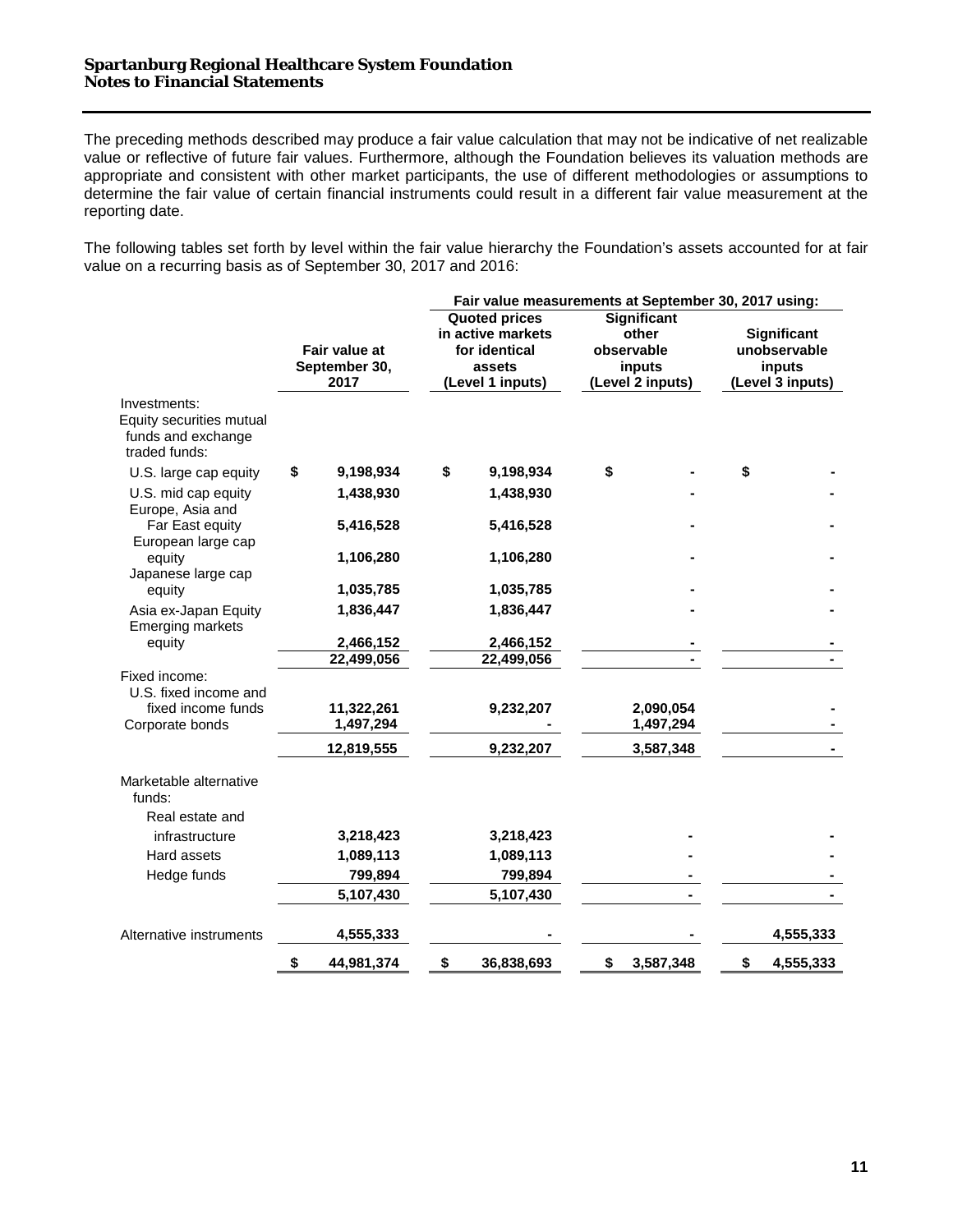The preceding methods described may produce a fair value calculation that may not be indicative of net realizable value or reflective of future fair values. Furthermore, although the Foundation believes its valuation methods are appropriate and consistent with other market participants, the use of different methodologies or assumptions to determine the fair value of certain financial instruments could result in a different fair value measurement at the reporting date.

The following tables set forth by level within the fair value hierarchy the Foundation's assets accounted for at fair value on a recurring basis as of September 30, 2017 and 2016:

|                              |                  | Fair value measurements at September 30, 2017 using: |                      |    |                    |    |                  |  |  |  |
|------------------------------|------------------|------------------------------------------------------|----------------------|----|--------------------|----|------------------|--|--|--|
|                              |                  |                                                      | <b>Quoted prices</b> |    | <b>Significant</b> |    |                  |  |  |  |
|                              |                  |                                                      | in active markets    |    | other              |    | Significant      |  |  |  |
|                              | Fair value at    |                                                      | for identical        |    | observable         |    | unobservable     |  |  |  |
|                              | September 30,    |                                                      | assets               |    | inputs             |    | inputs           |  |  |  |
|                              | 2017             |                                                      | (Level 1 inputs)     |    | (Level 2 inputs)   |    | (Level 3 inputs) |  |  |  |
| Investments:                 |                  |                                                      |                      |    |                    |    |                  |  |  |  |
| Equity securities mutual     |                  |                                                      |                      |    |                    |    |                  |  |  |  |
| funds and exchange           |                  |                                                      |                      |    |                    |    |                  |  |  |  |
| traded funds:                |                  |                                                      |                      |    |                    |    |                  |  |  |  |
| U.S. large cap equity        | \$<br>9,198,934  | \$                                                   | 9,198,934            | \$ |                    | \$ |                  |  |  |  |
| U.S. mid cap equity          | 1,438,930        |                                                      | 1,438,930            |    |                    |    |                  |  |  |  |
| Europe, Asia and             |                  |                                                      |                      |    |                    |    |                  |  |  |  |
| Far East equity              | 5,416,528        |                                                      | 5,416,528            |    |                    |    |                  |  |  |  |
| European large cap           |                  |                                                      |                      |    |                    |    |                  |  |  |  |
| equity                       | 1,106,280        |                                                      | 1,106,280            |    |                    |    |                  |  |  |  |
| Japanese large cap<br>equity | 1,035,785        |                                                      | 1,035,785            |    |                    |    |                  |  |  |  |
| Asia ex-Japan Equity         | 1,836,447        |                                                      | 1,836,447            |    |                    |    |                  |  |  |  |
| <b>Emerging markets</b>      |                  |                                                      |                      |    |                    |    |                  |  |  |  |
| equity                       | 2,466,152        |                                                      | 2,466,152            |    |                    |    |                  |  |  |  |
|                              | 22,499,056       |                                                      | 22,499,056           |    |                    |    |                  |  |  |  |
| Fixed income:                |                  |                                                      |                      |    |                    |    |                  |  |  |  |
| U.S. fixed income and        |                  |                                                      |                      |    |                    |    |                  |  |  |  |
| fixed income funds           | 11,322,261       |                                                      | 9,232,207            |    | 2,090,054          |    |                  |  |  |  |
| Corporate bonds              | 1,497,294        |                                                      |                      |    | 1,497,294          |    |                  |  |  |  |
|                              | 12,819,555       |                                                      | 9,232,207            |    | 3,587,348          |    |                  |  |  |  |
| Marketable alternative       |                  |                                                      |                      |    |                    |    |                  |  |  |  |
| funds:                       |                  |                                                      |                      |    |                    |    |                  |  |  |  |
| Real estate and              |                  |                                                      |                      |    |                    |    |                  |  |  |  |
| infrastructure               | 3,218,423        |                                                      | 3,218,423            |    |                    |    |                  |  |  |  |
| Hard assets                  | 1,089,113        |                                                      | 1,089,113            |    |                    |    |                  |  |  |  |
| Hedge funds                  | 799,894          |                                                      | 799,894              |    |                    |    |                  |  |  |  |
|                              | 5,107,430        |                                                      | 5,107,430            |    |                    |    |                  |  |  |  |
|                              |                  |                                                      |                      |    |                    |    |                  |  |  |  |
| Alternative instruments      | 4,555,333        |                                                      |                      |    |                    |    | 4,555,333        |  |  |  |
|                              | \$<br>44,981,374 | \$                                                   | 36,838,693           | \$ | 3,587,348          | \$ | 4,555,333        |  |  |  |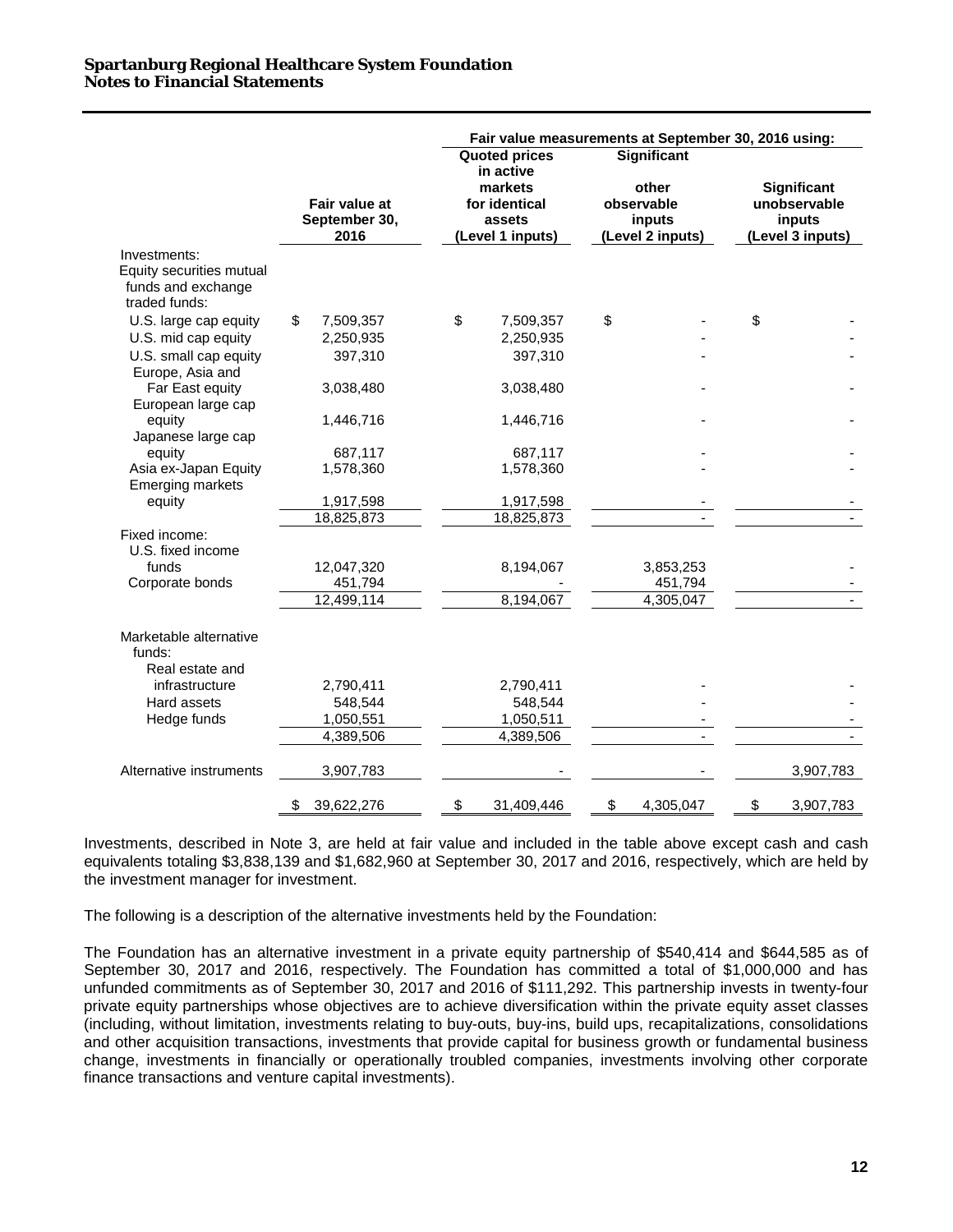|                                                                                 |                                        | Fair value measurements at September 30, 2016 using:                                        |                                                                         |                                                                  |  |  |  |  |
|---------------------------------------------------------------------------------|----------------------------------------|---------------------------------------------------------------------------------------------|-------------------------------------------------------------------------|------------------------------------------------------------------|--|--|--|--|
|                                                                                 | Fair value at<br>September 30,<br>2016 | <b>Quoted prices</b><br>in active<br>markets<br>for identical<br>assets<br>(Level 1 inputs) | <b>Significant</b><br>other<br>observable<br>inputs<br>(Level 2 inputs) | <b>Significant</b><br>unobservable<br>inputs<br>(Level 3 inputs) |  |  |  |  |
| Investments:<br>Equity securities mutual<br>funds and exchange<br>traded funds: |                                        |                                                                                             |                                                                         |                                                                  |  |  |  |  |
| U.S. large cap equity                                                           | \$<br>7,509,357                        | \$<br>7,509,357                                                                             | \$                                                                      | \$                                                               |  |  |  |  |
| U.S. mid cap equity                                                             | 2,250,935                              | 2,250,935                                                                                   |                                                                         |                                                                  |  |  |  |  |
| U.S. small cap equity<br>Europe, Asia and                                       | 397,310                                | 397,310                                                                                     |                                                                         |                                                                  |  |  |  |  |
| Far East equity<br>European large cap                                           | 3,038,480                              | 3,038,480                                                                                   |                                                                         |                                                                  |  |  |  |  |
| equity<br>Japanese large cap                                                    | 1,446,716                              | 1,446,716                                                                                   |                                                                         |                                                                  |  |  |  |  |
| equity                                                                          | 687,117                                | 687,117                                                                                     |                                                                         |                                                                  |  |  |  |  |
| Asia ex-Japan Equity<br><b>Emerging markets</b>                                 | 1,578,360                              | 1,578,360                                                                                   |                                                                         |                                                                  |  |  |  |  |
| equity                                                                          | 1,917,598                              | 1,917,598                                                                                   |                                                                         |                                                                  |  |  |  |  |
|                                                                                 | 18,825,873                             | 18,825,873                                                                                  |                                                                         |                                                                  |  |  |  |  |
| Fixed income:<br>U.S. fixed income                                              |                                        |                                                                                             |                                                                         |                                                                  |  |  |  |  |
| funds                                                                           | 12,047,320                             | 8,194,067                                                                                   | 3,853,253                                                               |                                                                  |  |  |  |  |
| Corporate bonds                                                                 | 451,794                                |                                                                                             | 451,794                                                                 |                                                                  |  |  |  |  |
|                                                                                 | 12,499,114                             | $\overline{8,}194,067$                                                                      | 4,305,047                                                               |                                                                  |  |  |  |  |
| Marketable alternative<br>funds:                                                |                                        |                                                                                             |                                                                         |                                                                  |  |  |  |  |
| Real estate and                                                                 |                                        |                                                                                             |                                                                         |                                                                  |  |  |  |  |
| infrastructure<br>Hard assets                                                   | 2,790,411<br>548,544                   | 2,790,411<br>548,544                                                                        |                                                                         |                                                                  |  |  |  |  |
| Hedge funds                                                                     | 1,050,551                              | 1,050,511                                                                                   |                                                                         |                                                                  |  |  |  |  |
|                                                                                 | 4,389,506                              | 4,389,506                                                                                   |                                                                         |                                                                  |  |  |  |  |
|                                                                                 |                                        |                                                                                             |                                                                         |                                                                  |  |  |  |  |
| Alternative instruments                                                         | 3,907,783                              |                                                                                             |                                                                         | 3,907,783                                                        |  |  |  |  |
|                                                                                 | 39,622,276<br>\$                       | \$<br>31,409,446                                                                            | \$<br>4,305,047                                                         | \$<br>3,907,783                                                  |  |  |  |  |

Investments, described in Note 3, are held at fair value and included in the table above except cash and cash equivalents totaling \$3,838,139 and \$1,682,960 at September 30, 2017 and 2016, respectively, which are held by the investment manager for investment.

The following is a description of the alternative investments held by the Foundation:

The Foundation has an alternative investment in a private equity partnership of \$540,414 and \$644,585 as of September 30, 2017 and 2016, respectively. The Foundation has committed a total of \$1,000,000 and has unfunded commitments as of September 30, 2017 and 2016 of \$111,292. This partnership invests in twenty-four private equity partnerships whose objectives are to achieve diversification within the private equity asset classes (including, without limitation, investments relating to buy-outs, buy-ins, build ups, recapitalizations, consolidations and other acquisition transactions, investments that provide capital for business growth or fundamental business change, investments in financially or operationally troubled companies, investments involving other corporate finance transactions and venture capital investments).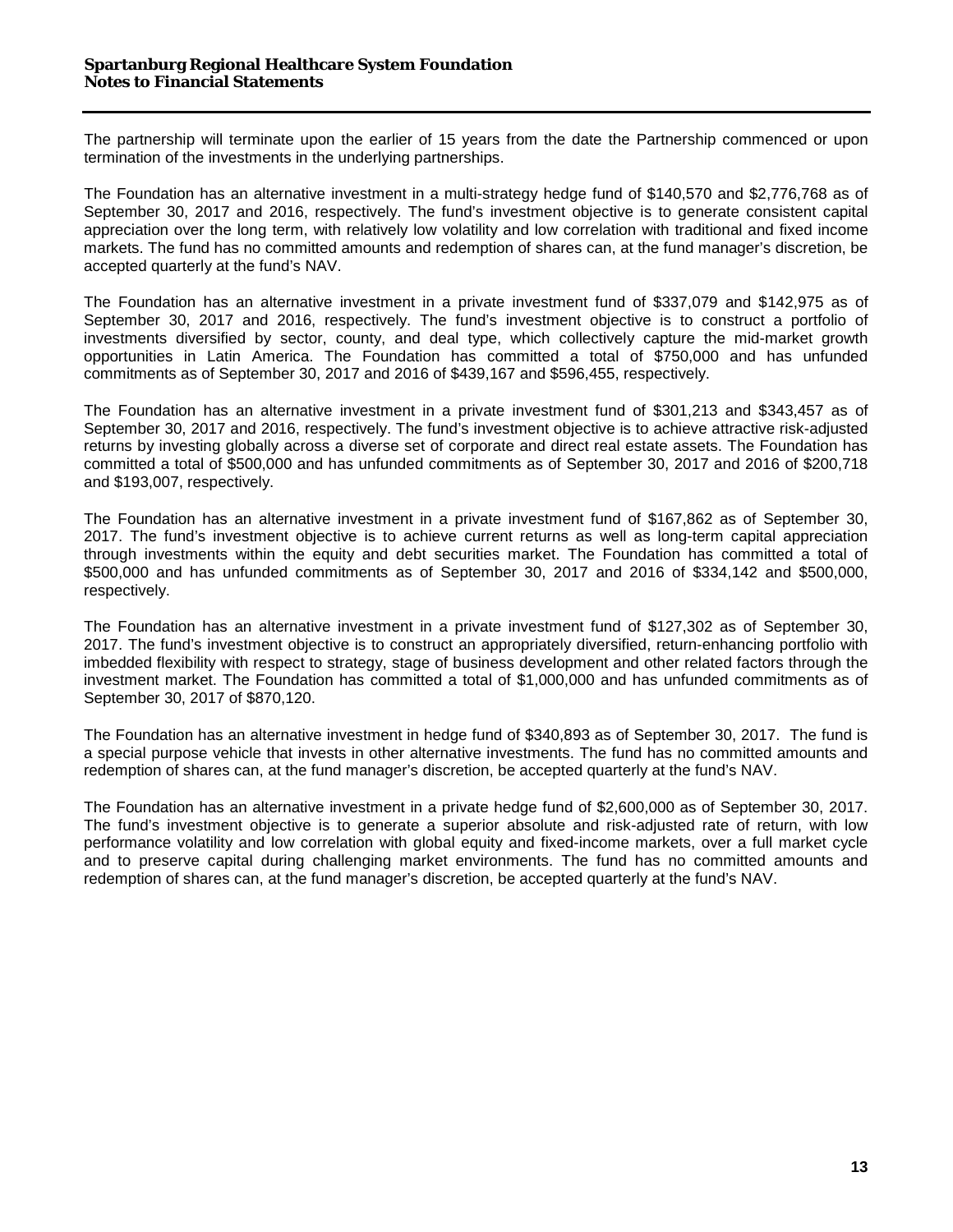The partnership will terminate upon the earlier of 15 years from the date the Partnership commenced or upon termination of the investments in the underlying partnerships.

The Foundation has an alternative investment in a multi-strategy hedge fund of \$140,570 and \$2,776,768 as of September 30, 2017 and 2016, respectively. The fund's investment objective is to generate consistent capital appreciation over the long term, with relatively low volatility and low correlation with traditional and fixed income markets. The fund has no committed amounts and redemption of shares can, at the fund manager's discretion, be accepted quarterly at the fund's NAV.

The Foundation has an alternative investment in a private investment fund of \$337,079 and \$142,975 as of September 30, 2017 and 2016, respectively. The fund's investment objective is to construct a portfolio of investments diversified by sector, county, and deal type, which collectively capture the mid-market growth opportunities in Latin America. The Foundation has committed a total of \$750,000 and has unfunded commitments as of September 30, 2017 and 2016 of \$439,167 and \$596,455, respectively.

The Foundation has an alternative investment in a private investment fund of \$301,213 and \$343,457 as of September 30, 2017 and 2016, respectively. The fund's investment objective is to achieve attractive risk-adjusted returns by investing globally across a diverse set of corporate and direct real estate assets. The Foundation has committed a total of \$500,000 and has unfunded commitments as of September 30, 2017 and 2016 of \$200,718 and \$193,007, respectively.

The Foundation has an alternative investment in a private investment fund of \$167,862 as of September 30, 2017. The fund's investment objective is to achieve current returns as well as long-term capital appreciation through investments within the equity and debt securities market. The Foundation has committed a total of \$500,000 and has unfunded commitments as of September 30, 2017 and 2016 of \$334,142 and \$500,000, respectively.

The Foundation has an alternative investment in a private investment fund of \$127,302 as of September 30, 2017. The fund's investment objective is to construct an appropriately diversified, return-enhancing portfolio with imbedded flexibility with respect to strategy, stage of business development and other related factors through the investment market. The Foundation has committed a total of \$1,000,000 and has unfunded commitments as of September 30, 2017 of \$870,120.

The Foundation has an alternative investment in hedge fund of \$340,893 as of September 30, 2017. The fund is a special purpose vehicle that invests in other alternative investments. The fund has no committed amounts and redemption of shares can, at the fund manager's discretion, be accepted quarterly at the fund's NAV.

The Foundation has an alternative investment in a private hedge fund of \$2,600,000 as of September 30, 2017. The fund's investment objective is to generate a superior absolute and risk-adjusted rate of return, with low performance volatility and low correlation with global equity and fixed-income markets, over a full market cycle and to preserve capital during challenging market environments. The fund has no committed amounts and redemption of shares can, at the fund manager's discretion, be accepted quarterly at the fund's NAV.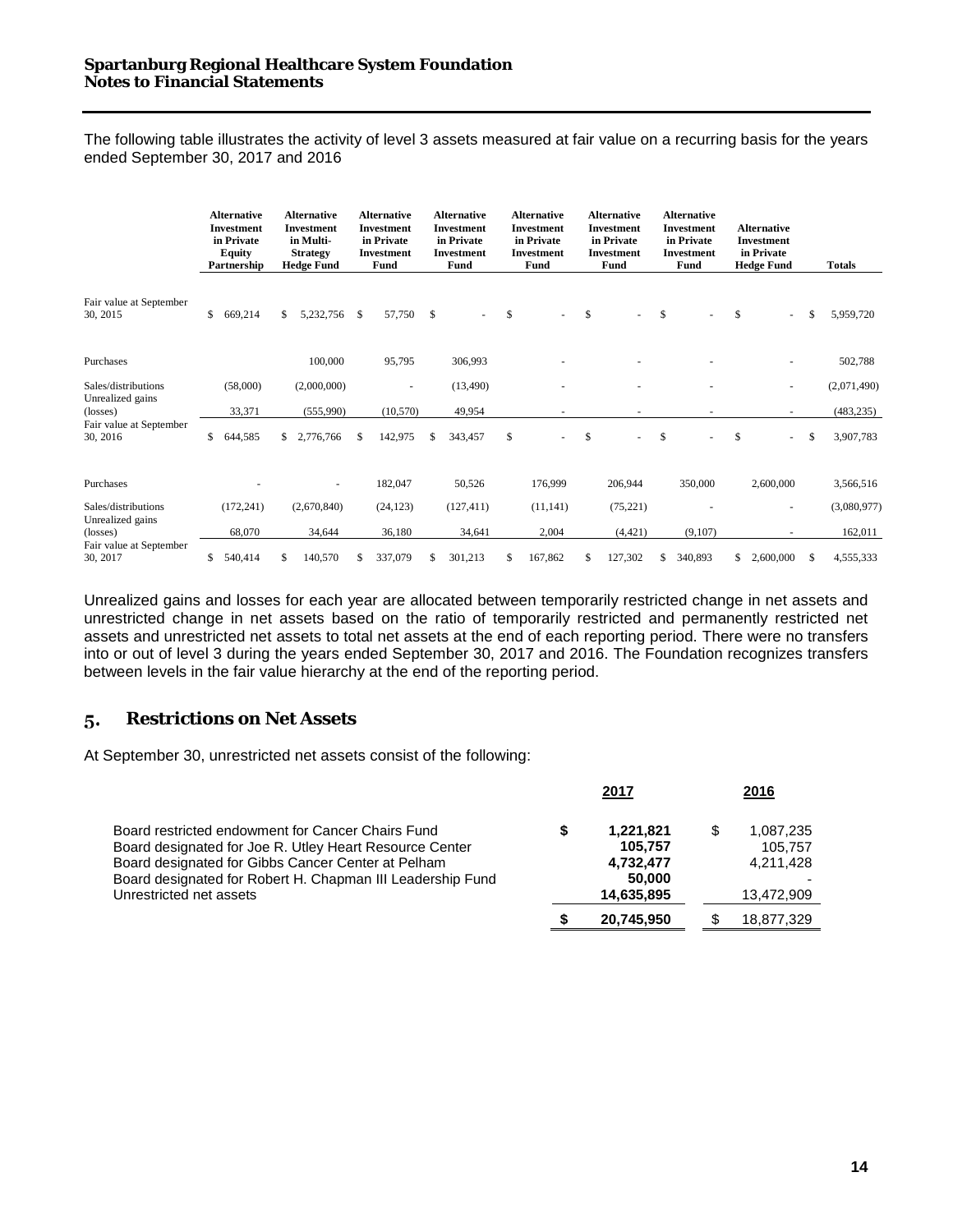The following table illustrates the activity of level 3 assets measured at fair value on a recurring basis for the years ended September 30, 2017 and 2016

|                                         | <b>Alternative</b><br><b>Investment</b><br>in Private<br><b>Equity</b><br>Partnership | <b>Alternative</b><br><b>Investment</b><br>in Multi-<br><b>Strategy</b><br><b>Hedge Fund</b> |                          |               |           |      | <b>Alternative</b><br><b>Investment</b><br>in Private<br><b>Investment</b><br>Fund |    | <b>Alternative</b><br><b>Investment</b><br>in Private<br><b>Investment</b><br><b>Fund</b> | <b>Alternative</b><br><b>Investment</b><br>in Private<br><b>Investment</b><br>Fund |           | <b>Alternative</b><br><b>Investment</b><br>in Private<br><b>Investment</b><br>Fund |         | <b>Alternative</b><br><b>Investment</b><br>in Private<br><b>Investment</b><br>Fund |    | <b>Alternative</b><br><b>Investment</b><br>in Private<br><b>Hedge Fund</b> |  | <b>Totals</b> |
|-----------------------------------------|---------------------------------------------------------------------------------------|----------------------------------------------------------------------------------------------|--------------------------|---------------|-----------|------|------------------------------------------------------------------------------------|----|-------------------------------------------------------------------------------------------|------------------------------------------------------------------------------------|-----------|------------------------------------------------------------------------------------|---------|------------------------------------------------------------------------------------|----|----------------------------------------------------------------------------|--|---------------|
| Fair value at September                 |                                                                                       |                                                                                              |                          |               |           |      |                                                                                    |    |                                                                                           |                                                                                    |           |                                                                                    |         |                                                                                    |    |                                                                            |  |               |
| 30, 2015                                | \$<br>669,214                                                                         | \$                                                                                           | 5,232,756                | $\mathcal{S}$ | 57,750    | - \$ |                                                                                    | \$ |                                                                                           | \$                                                                                 |           | \$                                                                                 |         | \$                                                                                 | \$ | 5,959,720                                                                  |  |               |
| Purchases                               |                                                                                       |                                                                                              | 100,000                  |               | 95,795    |      | 306,993                                                                            |    |                                                                                           |                                                                                    |           |                                                                                    |         |                                                                                    |    | 502,788                                                                    |  |               |
| Sales/distributions                     | (58,000)                                                                              |                                                                                              | (2,000,000)              |               |           |      | (13, 490)                                                                          |    |                                                                                           |                                                                                    |           |                                                                                    |         |                                                                                    |    | (2,071,490)                                                                |  |               |
| Unrealized gains<br>(losses)            | 33,371                                                                                |                                                                                              | (555,990)                |               | (10, 570) |      | 49,954                                                                             |    |                                                                                           |                                                                                    |           |                                                                                    |         |                                                                                    |    | (483, 235)                                                                 |  |               |
| Fair value at September<br>30, 2016     | \$<br>644,585                                                                         | \$.                                                                                          | 2,776,766                | \$            | 142,975   | \$.  | 343,457                                                                            | S. | ÷.                                                                                        | Ŝ                                                                                  |           | \$                                                                                 |         | \$<br>$\sim$                                                                       | \$ | 3,907,783                                                                  |  |               |
| Purchases                               |                                                                                       |                                                                                              | $\overline{\phantom{a}}$ |               | 182,047   |      | 50,526                                                                             |    | 176,999                                                                                   |                                                                                    | 206,944   |                                                                                    | 350,000 | 2,600,000                                                                          |    | 3,566,516                                                                  |  |               |
| Sales/distributions<br>Unrealized gains | (172, 241)                                                                            |                                                                                              | (2,670,840)              |               | (24, 123) |      | (127, 411)                                                                         |    | (11, 141)                                                                                 |                                                                                    | (75, 221) |                                                                                    |         |                                                                                    |    | (3,080,977)                                                                |  |               |
| (losses)                                | 68,070                                                                                |                                                                                              | 34,644                   |               | 36,180    |      | 34,641                                                                             |    | 2,004                                                                                     |                                                                                    | (4, 421)  |                                                                                    | (9,107) |                                                                                    |    | 162,011                                                                    |  |               |
| Fair value at September<br>30, 2017     | \$<br>540,414                                                                         | S.                                                                                           | 140,570                  | S.            | 337,079   | S    | 301,213                                                                            | S  | 167,862                                                                                   | S                                                                                  | 127,302   | S.                                                                                 | 340,893 | \$<br>2,600,000                                                                    | S  | 4,555,333                                                                  |  |               |

Unrealized gains and losses for each year are allocated between temporarily restricted change in net assets and unrestricted change in net assets based on the ratio of temporarily restricted and permanently restricted net assets and unrestricted net assets to total net assets at the end of each reporting period. There were no transfers into or out of level 3 during the years ended September 30, 2017 and 2016. The Foundation recognizes transfers between levels in the fair value hierarchy at the end of the reporting period.

#### 5. **Restrictions on Net Assets**

At September 30, unrestricted net assets consist of the following:

|                                                                                                                                                                                                                                                             |   | 2017                                                      |   | 2016                                            |
|-------------------------------------------------------------------------------------------------------------------------------------------------------------------------------------------------------------------------------------------------------------|---|-----------------------------------------------------------|---|-------------------------------------------------|
| Board restricted endowment for Cancer Chairs Fund<br>Board designated for Joe R. Utley Heart Resource Center<br>Board designated for Gibbs Cancer Center at Pelham<br>Board designated for Robert H. Chapman III Leadership Fund<br>Unrestricted net assets | S | 1,221,821<br>105.757<br>4,732,477<br>50,000<br>14,635,895 | S | 1,087,235<br>105.757<br>4,211,428<br>13,472,909 |
|                                                                                                                                                                                                                                                             |   | 20.745.950                                                |   | 18.877.329                                      |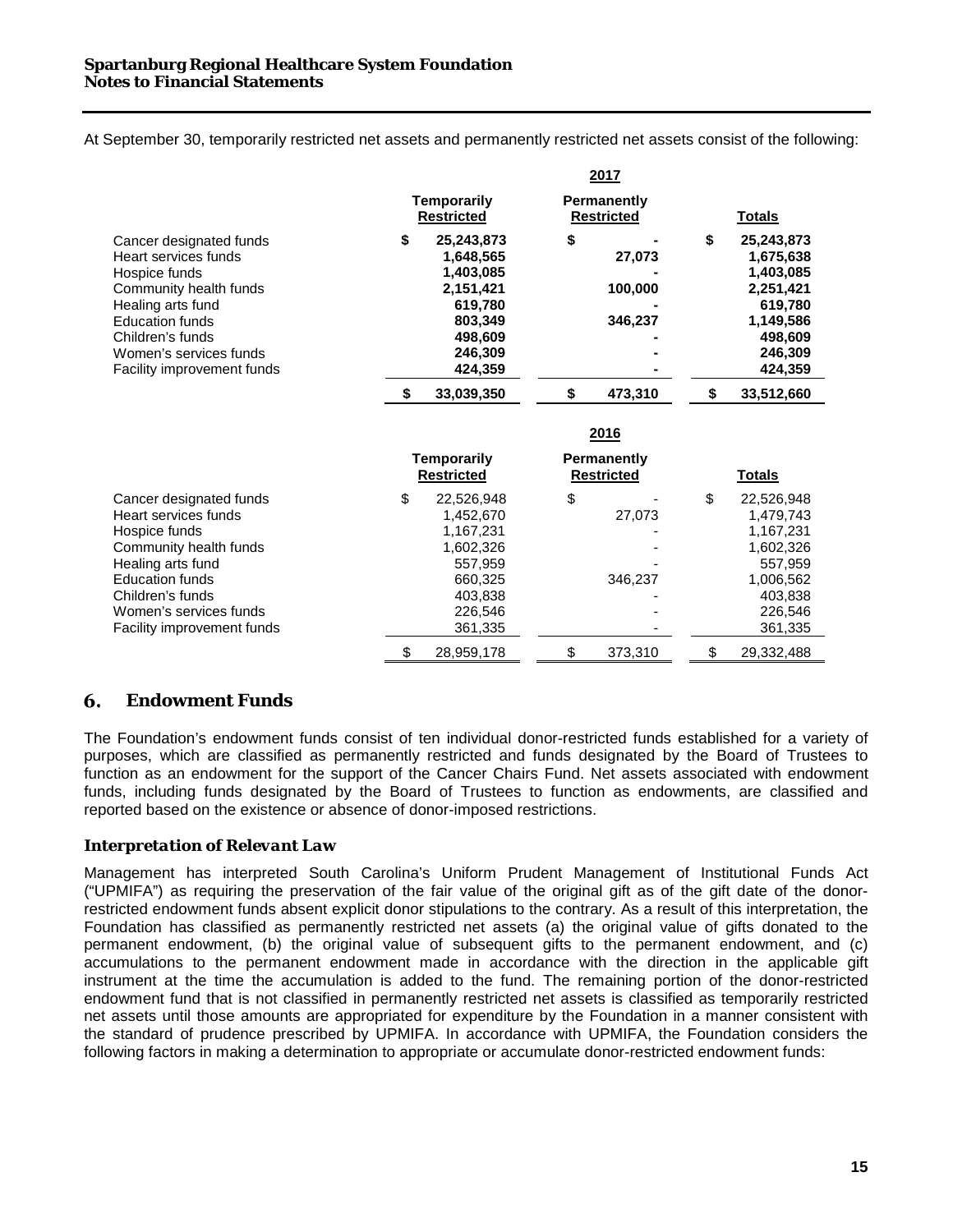At September 30, temporarily restricted net assets and permanently restricted net assets consist of the following:

|                            |                                  | 2017                             |                  |  |  |
|----------------------------|----------------------------------|----------------------------------|------------------|--|--|
|                            | Temporarily<br><b>Restricted</b> | Permanently<br><b>Restricted</b> | <b>Totals</b>    |  |  |
| Cancer designated funds    | \$<br>25,243,873                 | \$                               | \$<br>25,243,873 |  |  |
| Heart services funds       | 1,648,565                        | 27,073                           | 1,675,638        |  |  |
| Hospice funds              | 1,403,085                        |                                  | 1,403,085        |  |  |
| Community health funds     | 2,151,421                        | 100,000                          | 2,251,421        |  |  |
| Healing arts fund          | 619,780                          |                                  | 619,780          |  |  |
| <b>Education funds</b>     | 803,349                          | 346,237                          | 1,149,586        |  |  |
| Children's funds           | 498,609                          |                                  | 498,609          |  |  |
| Women's services funds     | 246,309                          |                                  | 246,309          |  |  |
| Facility improvement funds | 424,359                          |                                  | 424,359          |  |  |
|                            | 33,039,350<br>\$                 | \$<br>473,310                    | \$<br>33,512,660 |  |  |
|                            |                                  | 2016                             |                  |  |  |
|                            | Temporarily<br><b>Restricted</b> | Permanently<br><b>Restricted</b> | <u>Totals</u>    |  |  |
| Cancer designated funds    | \$<br>22,526,948                 | \$                               | \$<br>22,526,948 |  |  |
| Heart services funds       | 1,452,670                        | 27,073                           | 1,479,743        |  |  |
| Hospice funds              | 1,167,231                        |                                  | 1,167,231        |  |  |
| Community health funds     | 1,602,326                        |                                  | 1,602,326        |  |  |
| Healing arts fund          | 557,959                          |                                  | 557,959          |  |  |
| <b>Education funds</b>     | 660,325                          | 346,237                          | 1,006,562        |  |  |
| Children's funds           | 403,838                          |                                  | 403,838          |  |  |
| Women's services funds     | 226,546                          |                                  | 226,546          |  |  |
| Facility improvement funds | 361,335                          |                                  | 361,335          |  |  |
|                            | \$<br>28,959,178                 | \$<br>373,310                    | \$<br>29,332,488 |  |  |

#### **Endowment Funds** 6.

The Foundation's endowment funds consist of ten individual donor-restricted funds established for a variety of purposes, which are classified as permanently restricted and funds designated by the Board of Trustees to function as an endowment for the support of the Cancer Chairs Fund. Net assets associated with endowment funds, including funds designated by the Board of Trustees to function as endowments, are classified and reported based on the existence or absence of donor-imposed restrictions.

#### *Interpretation of Relevant Law*

Management has interpreted South Carolina's Uniform Prudent Management of Institutional Funds Act ("UPMIFA") as requiring the preservation of the fair value of the original gift as of the gift date of the donorrestricted endowment funds absent explicit donor stipulations to the contrary. As a result of this interpretation, the Foundation has classified as permanently restricted net assets (a) the original value of gifts donated to the permanent endowment, (b) the original value of subsequent gifts to the permanent endowment, and (c) accumulations to the permanent endowment made in accordance with the direction in the applicable gift instrument at the time the accumulation is added to the fund. The remaining portion of the donor-restricted endowment fund that is not classified in permanently restricted net assets is classified as temporarily restricted net assets until those amounts are appropriated for expenditure by the Foundation in a manner consistent with the standard of prudence prescribed by UPMIFA. In accordance with UPMIFA, the Foundation considers the following factors in making a determination to appropriate or accumulate donor-restricted endowment funds: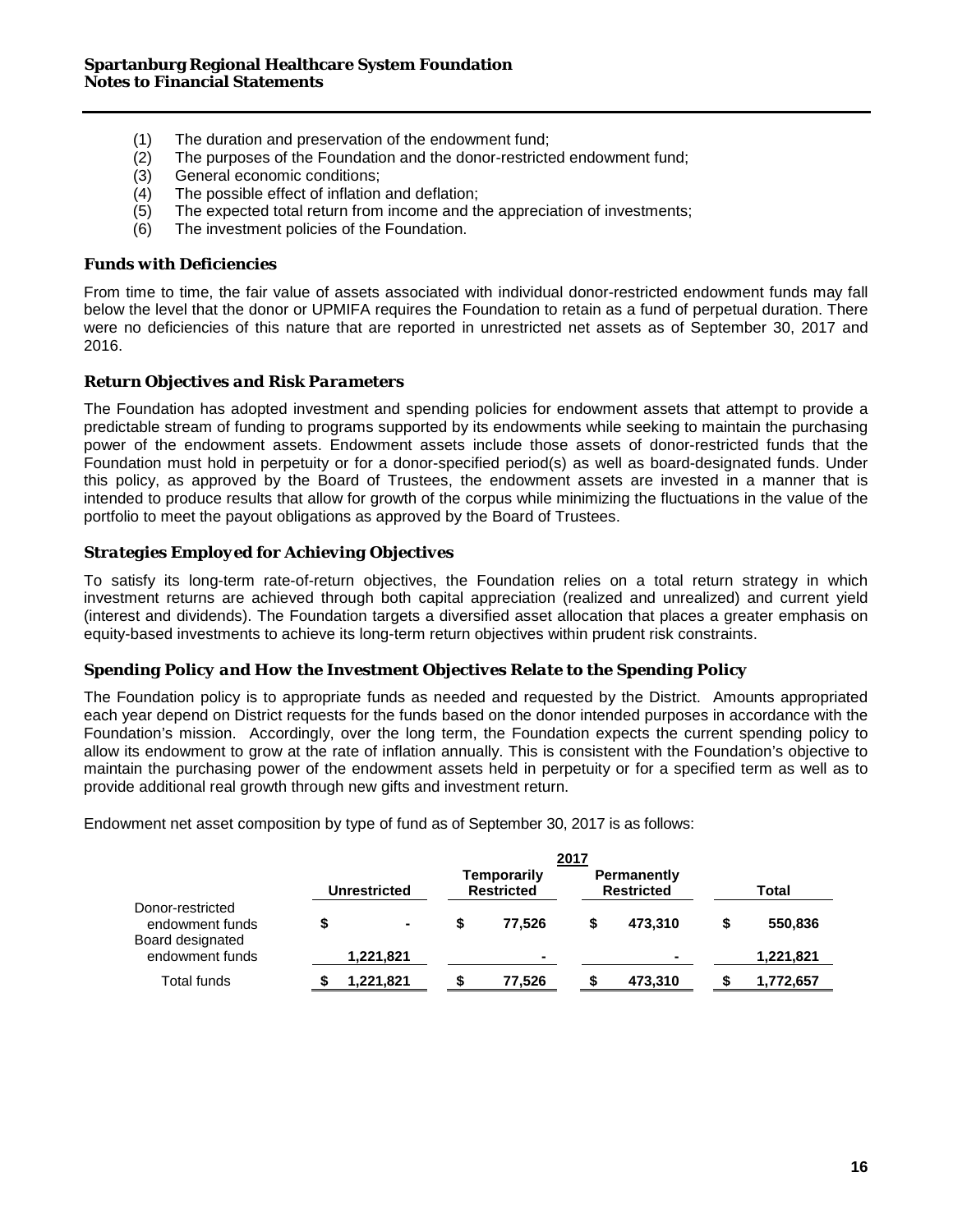- (1) The duration and preservation of the endowment fund;
- (2) The purposes of the Foundation and the donor-restricted endowment fund;<br>(3) General economic conditions;
- General economic conditions:
- (4) The possible effect of inflation and deflation;
- (5) The expected total return from income and the appreciation of investments;
- (6) The investment policies of the Foundation.

#### *Funds with Deficiencies*

From time to time, the fair value of assets associated with individual donor-restricted endowment funds may fall below the level that the donor or UPMIFA requires the Foundation to retain as a fund of perpetual duration. There were no deficiencies of this nature that are reported in unrestricted net assets as of September 30, 2017 and 2016.

#### *Return Objectives and Risk Parameters*

The Foundation has adopted investment and spending policies for endowment assets that attempt to provide a predictable stream of funding to programs supported by its endowments while seeking to maintain the purchasing power of the endowment assets. Endowment assets include those assets of donor-restricted funds that the Foundation must hold in perpetuity or for a donor-specified period(s) as well as board-designated funds. Under this policy, as approved by the Board of Trustees, the endowment assets are invested in a manner that is intended to produce results that allow for growth of the corpus while minimizing the fluctuations in the value of the portfolio to meet the payout obligations as approved by the Board of Trustees.

#### *Strategies Employed for Achieving Objectives*

To satisfy its long-term rate-of-return objectives, the Foundation relies on a total return strategy in which investment returns are achieved through both capital appreciation (realized and unrealized) and current yield (interest and dividends). The Foundation targets a diversified asset allocation that places a greater emphasis on equity-based investments to achieve its long-term return objectives within prudent risk constraints.

#### *Spending Policy and How the Investment Objectives Relate to the Spending Policy*

The Foundation policy is to appropriate funds as needed and requested by the District. Amounts appropriated each year depend on District requests for the funds based on the donor intended purposes in accordance with the Foundation's mission. Accordingly, over the long term, the Foundation expects the current spending policy to allow its endowment to grow at the rate of inflation annually. This is consistent with the Foundation's objective to maintain the purchasing power of the endowment assets held in perpetuity or for a specified term as well as to provide additional real growth through new gifts and investment return.

Endowment net asset composition by type of fund as of September 30, 2017 is as follows:

|                                                         | 2017                |                |                                  |        |                                  |         |              |           |
|---------------------------------------------------------|---------------------|----------------|----------------------------------|--------|----------------------------------|---------|--------------|-----------|
|                                                         | <b>Unrestricted</b> |                | Temporarily<br><b>Restricted</b> |        | Permanently<br><b>Restricted</b> |         | <b>Total</b> |           |
| Donor-restricted<br>endowment funds<br>Board designated | S                   | $\blacksquare$ |                                  | 77.526 |                                  | 473.310 |              | 550,836   |
| endowment funds                                         |                     | 1,221,821      |                                  |        |                                  |         |              | 1,221,821 |
| Total funds                                             |                     | 1,221,821      |                                  | 77,526 |                                  | 473,310 |              | 1,772,657 |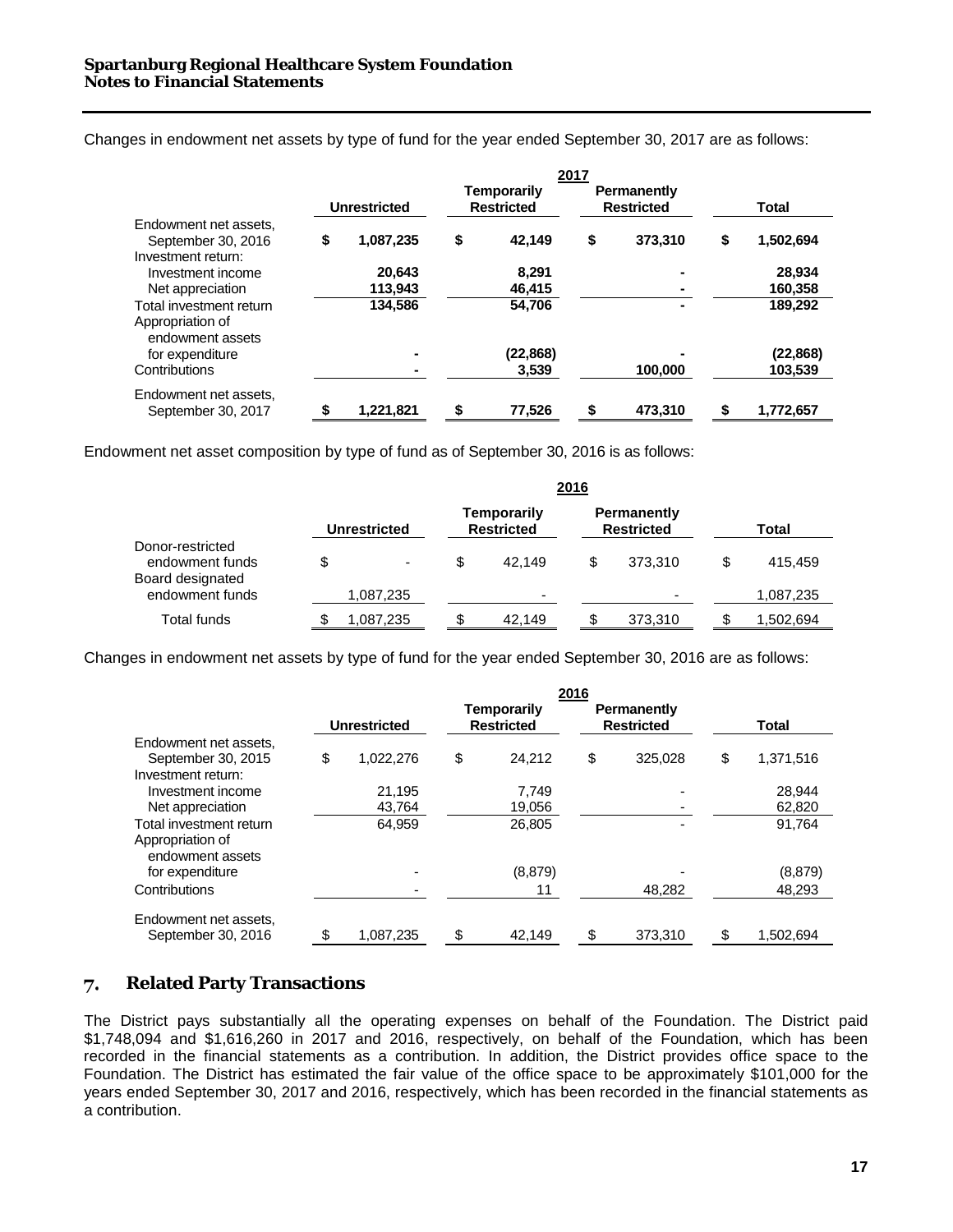Changes in endowment net assets by type of fund for the year ended September 30, 2017 are as follows:

|                                                                   | Unrestricted |                   | <b>Temporarily</b><br><b>Restricted</b> |                    | 2017<br>Permanently<br><b>Restricted</b> |         | Total |                      |
|-------------------------------------------------------------------|--------------|-------------------|-----------------------------------------|--------------------|------------------------------------------|---------|-------|----------------------|
| Endowment net assets,<br>September 30, 2016<br>Investment return: | \$           | 1,087,235         | \$                                      | 42,149             | \$                                       | 373,310 | \$    | 1,502,694            |
| Investment income<br>Net appreciation                             |              | 20,643<br>113,943 |                                         | 8.291<br>46,415    |                                          |         |       | 28.934<br>160,358    |
| Total investment return<br>Appropriation of<br>endowment assets   |              | 134,586           |                                         | 54.706             |                                          |         |       | 189,292              |
| for expenditure<br>Contributions                                  |              |                   |                                         | (22, 868)<br>3,539 |                                          | 100,000 |       | (22, 868)<br>103,539 |
| Endowment net assets,<br>September 30, 2017                       |              | 1,221,821         | \$                                      | 77,526             |                                          | 473,310 |       | 1,772,657            |

Endowment net asset composition by type of fund as of September 30, 2016 is as follows:

|                                                         |                     | <u>2016</u>              |                                  |                          |                                  |         |              |           |  |  |
|---------------------------------------------------------|---------------------|--------------------------|----------------------------------|--------------------------|----------------------------------|---------|--------------|-----------|--|--|
|                                                         | <b>Unrestricted</b> |                          | Temporarily<br><b>Restricted</b> |                          | Permanently<br><b>Restricted</b> |         | <b>Total</b> |           |  |  |
| Donor-restricted<br>endowment funds<br>Board designated | \$                  | $\overline{\phantom{0}}$ |                                  | 42.149                   |                                  | 373.310 |              | 415.459   |  |  |
| endowment funds                                         |                     | 1,087,235                |                                  | $\overline{\phantom{0}}$ |                                  | -       |              | 1,087,235 |  |  |
| Total funds                                             |                     | 1,087,235                |                                  | 42.149                   |                                  | 373,310 |              | 1,502,694 |  |  |

Changes in endowment net assets by type of fund for the year ended September 30, 2016 are as follows:

|                                                                 | 2016                |           |                                  |         |                                         |         |              |           |
|-----------------------------------------------------------------|---------------------|-----------|----------------------------------|---------|-----------------------------------------|---------|--------------|-----------|
|                                                                 | <b>Unrestricted</b> |           | Temporarily<br><b>Restricted</b> |         | <b>Permanently</b><br><b>Restricted</b> |         | <b>Total</b> |           |
| Endowment net assets,                                           |                     |           |                                  |         |                                         |         |              |           |
| September 30, 2015                                              | \$                  | 1,022,276 | \$                               | 24.212  | \$                                      | 325,028 | S            | 1,371,516 |
| Investment return:                                              |                     |           |                                  |         |                                         |         |              |           |
| Investment income                                               |                     | 21,195    |                                  | 7.749   |                                         |         |              | 28.944    |
| Net appreciation                                                |                     | 43,764    |                                  | 19,056  |                                         |         |              | 62,820    |
| Total investment return<br>Appropriation of<br>endowment assets |                     | 64.959    |                                  | 26,805  |                                         |         |              | 91.764    |
| for expenditure                                                 |                     |           |                                  | (8,879) |                                         |         |              | (8,879)   |
| Contributions                                                   |                     |           |                                  | 11      |                                         | 48.282  |              | 48,293    |
| Endowment net assets,<br>September 30, 2016                     | \$                  | 1,087,235 | \$                               | 42,149  |                                         | 373,310 |              | 1,502,694 |

#### **Related Party Transactions** 7.

The District pays substantially all the operating expenses on behalf of the Foundation. The District paid \$1,748,094 and \$1,616,260 in 2017 and 2016, respectively, on behalf of the Foundation, which has been recorded in the financial statements as a contribution. In addition, the District provides office space to the Foundation. The District has estimated the fair value of the office space to be approximately \$101,000 for the years ended September 30, 2017 and 2016, respectively, which has been recorded in the financial statements as a contribution.